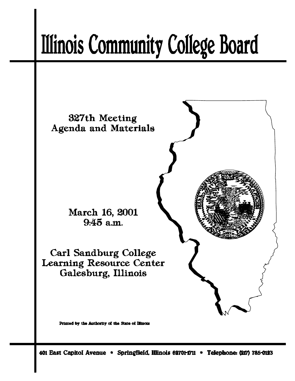# **Illinois Community College Board**



401 East Capitol Avenue \* Springfield, Illinois 62701-1711 \* Telephone: (217) 785-0123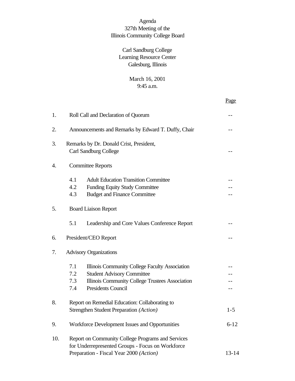# Agenda 327th Meeting of the Illinois Community College Board

# Carl Sandburg College Learning Resource Center Galesburg, Illinois

# March 16, 2001 9:45 a.m.

Page

| 1.  | Roll Call and Declaration of Quorum                                                                                                              |                                                                                                                                                                     |           |  |  |
|-----|--------------------------------------------------------------------------------------------------------------------------------------------------|---------------------------------------------------------------------------------------------------------------------------------------------------------------------|-----------|--|--|
| 2.  | Announcements and Remarks by Edward T. Duffy, Chair                                                                                              |                                                                                                                                                                     |           |  |  |
| 3.  | Remarks by Dr. Donald Crist, President,<br><b>Carl Sandburg College</b><br>$-1$                                                                  |                                                                                                                                                                     |           |  |  |
| 4.  | <b>Committee Reports</b>                                                                                                                         |                                                                                                                                                                     |           |  |  |
|     | 4.1<br>4.2<br>4.3                                                                                                                                | <b>Adult Education Transition Committee</b><br><b>Funding Equity Study Committee</b><br><b>Budget and Finance Committee</b>                                         |           |  |  |
| 5.  |                                                                                                                                                  |                                                                                                                                                                     |           |  |  |
|     | 5.1                                                                                                                                              | Leadership and Core Values Conference Report                                                                                                                        |           |  |  |
| 6.  |                                                                                                                                                  | President/CEO Report                                                                                                                                                |           |  |  |
| 7.  | <b>Advisory Organizations</b>                                                                                                                    |                                                                                                                                                                     |           |  |  |
|     | 7.1<br>7.2<br>7.3<br>7.4                                                                                                                         | Illinois Community College Faculty Association<br><b>Student Advisory Committee</b><br>Illinois Community College Trustees Association<br><b>Presidents Council</b> |           |  |  |
| 8.  | Report on Remedial Education: Collaborating to<br>Strengthen Student Preparation (Action)<br>$1 - 5$                                             |                                                                                                                                                                     |           |  |  |
| 9.  | Workforce Development Issues and Opportunities<br>$6 - 12$                                                                                       |                                                                                                                                                                     |           |  |  |
| 10. | Report on Community College Programs and Services<br>for Underrepresented Groups - Focus on Workforce<br>Preparation - Fiscal Year 2000 (Action) |                                                                                                                                                                     | $13 - 14$ |  |  |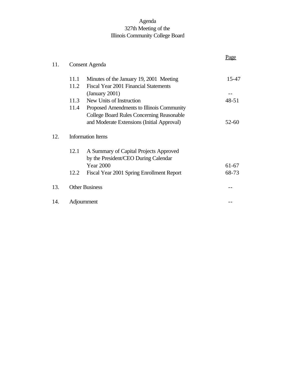# Agenda 327th Meeting of the Illinois Community College Board

| <b>Consent Agenda</b>    |                                                  |                               |  |
|--------------------------|--------------------------------------------------|-------------------------------|--|
| 11.1                     | Minutes of the January 19, 2001 Meeting          | 15-47                         |  |
| 11.2                     | Fiscal Year 2001 Financial Statements            |                               |  |
|                          | (January $2001$ )                                |                               |  |
|                          | New Units of Instruction                         | $48 - 51$                     |  |
| 11.4                     | Proposed Amendments to Illinois Community        |                               |  |
|                          | <b>College Board Rules Concerning Reasonable</b> |                               |  |
|                          | and Moderate Extensions (Initial Approval)       | $52 - 60$                     |  |
| <b>Information Items</b> |                                                  |                               |  |
| 12.1                     | A Summary of Capital Projects Approved           |                               |  |
|                          | by the President/CEO During Calendar             |                               |  |
|                          | <b>Year 2000</b>                                 | $61-67$                       |  |
| 12.2                     | Fiscal Year 2001 Spring Enrollment Report        | 68-73                         |  |
|                          |                                                  |                               |  |
|                          |                                                  |                               |  |
|                          |                                                  | 11.3<br><b>Other Business</b> |  |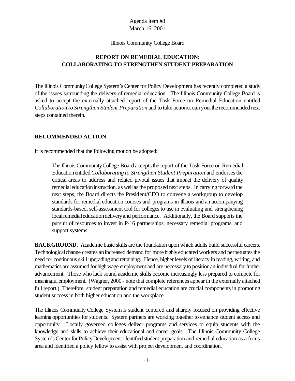#### Illinois Community College Board

# **REPORT ON REMEDIAL EDUCATION: COLLABORATING TO STRENGTHEN STUDENT PREPARATION**

The Illinois Community College System's Center for Policy Development has recently completed a study of the issues surrounding the delivery of remedial education. The Illinois Community College Board is asked to accept the externally attached report of the Task Force on Remedial Education entitled *Collaboration to Strengthen Student Preparation* and to take actiontocarryoutthe recommended next steps contained therein.

#### **RECOMMENDED ACTION**

It is recommended that the following motion be adopted:

The Illinois Community College Board accepts the report of the Task Force on Remedial Education entitled *Collaborating to Strengthen Student Preparation* and endorses the critical areas to address and related pivotal issues that impact the delivery of quality remedial education instruction, as well as the proposed next steps. In carrying forward the next steps, the Board directs the President/CEO to convene a workgroup to develop standards for remedial education courses and programs in Illinois and an accompanying standards-based, self-assessment tool for colleges to use in evaluating and strengthening local remedial education delivery and performance. Additionally, the Board supports the pursuit of resources to invest in P-16 partnerships, necessary remedial programs, and support systems.

**BACKGROUND.** Academic basic skills are the foundation upon which adults build successful careers. Technological change creates an increased demand for more highly educated workers and perpetuates the need for continuous skill upgrading and retraining. Hence, higher levels of literacy in reading, writing, and mathematics are assumed for highwage employment and are necessaryto positionan individual for further advancement. Those who lack sound academic skills become increasingly less prepared to compete for meaningful employment. (Wagner, 2000 - note that complete references appear in the externally attached full report.) Therefore, student preparation and remedial education are crucial components in promoting student success in both higher education and the workplace.

The Illinois Community College System is student centered and sharply focused on providing effective learning opportunities for students. System partners are working together to enhance student access and opportunity. Locally governed colleges deliver programs and services to equip students with the knowledge and skills to achieve their educational and career goals. The Illinois Community College System's Center for Policy Development identified student preparation and remedial education as a focus area and identified a policy fellow to assist with project development and coordination.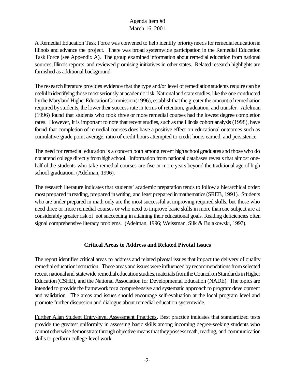A Remedial Education Task Force was convened to help identify priority needs for remedial education in Illinois and advance the project. There was broad systemwide participation in the Remedial Education Task Force (see Appendix A). The group examined information about remedial education from national sources, Illinois reports, and reviewed promising initiatives in other states. Related research highlights are furnished as additional background.

The research literature provides evidence that the type and/or level of remediation students require can be useful in identifying those most seriously at academic risk. National and state studies, like the one conducted by the Maryland Higher Education Commission (1996), establishthat the greater the amount of remediation required by students, the lower their success rate in terms of retention, graduation, and transfer. Adelman (1996) found that students who took three or more remedial courses had the lowest degree completion rates. However, it is important to note that recent studies, such as the Illinois cohort analysis (1998), have found that completion of remedial courses does have a positive effect on educational outcomes such as cumulative grade point average, ratio of credit hours attempted to credit hours earned, and persistence.

The need for remedial education is a concern both among recent high school graduates and those who do not attend college directly from high school. Information from national databases reveals that almost onehalf of the students who take remedial courses are five or more years beyond the traditional age of high school graduation. (Adelman, 1996).

The research literature indicates that students' academic preparation tends to follow a hierarchical order: most prepared inreading, prepared inwriting, and least prepared inmathematics(SREB, 1991). Students who are under prepared in math only are the most successful at improving required skills, but those who need three or more remedial courses or who need to improve basic skills in more thanone subject are at considerably greater risk of not succeeding in attaining their educational goals. Reading deficiencies often signal comprehensive literacy problems. (Adelman, 1996; Weissman, Silk & Bulakowski, 1997).

# **Critical Areas to Address and Related Pivotal Issues**

The report identifies critical areas to address and related pivotal issues that impact the delivery of quality remedial education instruction. These areas and issues were influenced by recommendations from selected recent national and statewide remedial education studies, materials from the Council on Standards in Higher Education(CSHE), and the National Association for Developmental Education (NADE). The topics are intended to provide the framework for a comprehensive and systematic approach to program development and validation. The areas and issues should encourage self-evaluation at the local program level and promote further discussion and dialogue about remedial education systemwide.

Further Align Student Entry-level Assessment Practices. Best practice indicates that standardized tests provide the greatest uniformity in assessing basic skills among incoming degree-seeking students who cannot otherwise demonstrate through objective means that they possess math, reading, and communication skills to perform college-level work.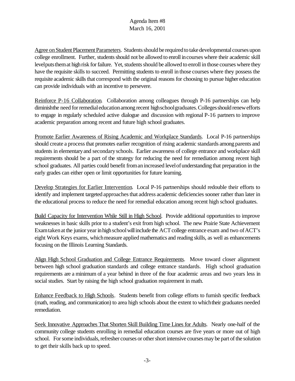Agree on Student Placement Parameters. Students should be required to take developmental courses upon college enrollment. Further, students should not be allowed to enroll in courses where their academic skill levelputs them at high risk for failure. Yet, students should be allowed to enroll in those courses where they have the requisite skills to succeed. Permitting students to enroll in those courses where they possess the requisite academic skills that correspond with the original reasons for choosing to pursue higher education can provide individuals with an incentive to persevere.

Reinforce P-16 Collaboration. Collaboration among colleagues through P-16 partnerships can help diminishthe need for remedial education among recent high school graduates. Colleges should renew efforts to engage in regularly scheduled active dialogue and discussion with regional P-16 partners to improve academic preparation among recent and future high school graduates.

Promote Earlier Awareness of Rising Academic and Workplace Standards. Local P-16 partnerships should create a process that promotes earlier recognition of rising academic standards among parents and students in elementaryand secondaryschools. Earlier awareness of college entrance and workplace skill requirements should be a part of the strategy for reducing the need for remediation among recent high school graduates. All parties could benefit from an increased level of understanding that preparation in the early grades can either open or limit opportunities for future learning.

Develop Strategies for Earlier Intervention. Local P-16 partnerships should redouble their efforts to identify and implement targeted approaches that address academic deficiencies sooner rather than later in the educational process to reduce the need for remedial education among recent high school graduates.

Build Capacity for Intervention While Still in High School. Provide additional opportunities to improve weaknesses in basic skills prior to a student's exit from high school. The new Prairie State Achievement Examtaken at the junior year in high school will include the ACT college entrance exam and two of ACT's eight Work Keys exams, which measure applied mathematics and reading skills, as well as enhancements focusing on the Illinois Learning Standards.

Align High School Graduation and College Entrance Requirements. Move toward closer alignment between high school graduation standards and college entrance standards. High school graduation requirements are a minimum of a year behind in three of the four academic areas and two years less in social studies. Start by raising the high school graduation requirement in math.

Enhance Feedback to High Schools. Students benefit from college efforts to furnish specific feedback (math, reading, and communication) to area high schools about the extent to which their graduates needed remediation.

Seek Innovative Approaches That Shorten Skill Building Time Lines for Adults. Nearly one-half of the community college students enrolling in remedial education courses are five years or more out of high school. For some individuals, refresher courses or other short intensive courses may be part of the solution to get their skills back up to speed.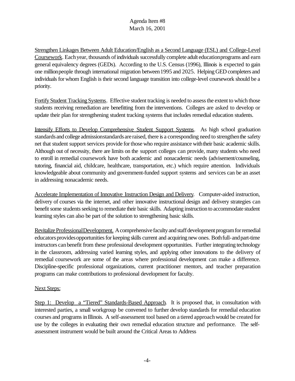Strengthen Linkages Between Adult Education/English as a Second Language (ESL) and College-Level Coursework. Each year, thousands of individuals successfully complete adult education programs and earn general equivalency degrees (GEDs). According to the U.S. Census (1996), Illinois is expected to gain one millionpeople through international migration between1995 and 2025. Helping GED completers and individuals for whom English is their second language transition into college-level coursework should be a priority.

Fortify Student Tracking Systems. Effective student tracking is needed to assess the extent to which those students receiving remediation are benefitting from the interventions. Colleges are asked to develop or update their plan for strengthening student tracking systems that includes remedial education students.

Intensify Efforts to Develop Comprehensive Student Support Systems. As high school graduation standardsand college admissionstandardsare raised, there is a corresponding need to strengthenthe safety net that student support services provide forthose who require assistance withtheir basic academic skills. Although out of necessity, there are limits on the support colleges can provide, many students who need to enroll in remedial coursework have both academic and nonacademic needs (advisement/counseling, tutoring, financial aid, childcare, healthcare, transportation, etc.) which require attention. Individuals knowledgeable about community and government-funded support systems and services can be an asset in addressing nonacademic needs.

Accelerate Implementation of Innovative Instruction Design and Delivery. Computer-aided instruction, delivery of courses via the internet, and other innovative instructional design and delivery strategies can benefit some students seeking to remediate their basic skills. Adapting instruction to accommodate student learning styles can also be part of the solution to strengthening basic skills.

Revitalize Professional Development. A comprehensive faculty and staff development program for remedial educators provides opportunities for keeping skills current and acquiring new ones. Both full- and part-time instructors canbenefit from these professional development opportunities. Further integrating technology in the classroom, addressing varied learning styles, and applying other innovations to the delivery of remedial coursework are some of the areas where professional development can make a difference. Discipline-specific professional organizations, current practitioner mentors, and teacher preparation programs can make contributions to professional development for faculty.

## **Next Steps:**

Step 1: Develop a "Tiered" Standards-Based Approach. It is proposed that, in consultation with interested parties, a small workgroup be convened to further develop standards for remedial education courses and programs inIllinois. A self-assessment tool based on a tiered approachwould be created for use by the colleges in evaluating their own remedial education structure and performance. The selfassessment instrument would be built around the Critical Areas to Address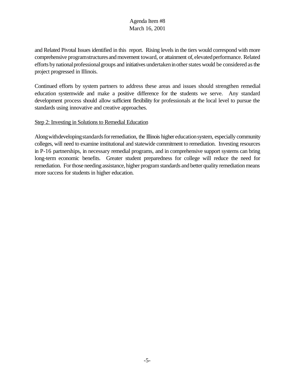and Related Pivotal Issues identified in this report. Rising levels in the tiers would correspond with more comprehensive programstructures and movement toward, or attainment of, elevated performance. Related efforts by national professional groups and initiatives undertaken in other states would be considered as the project progressed in Illinois.

Continued efforts by system partners to address these areas and issues should strengthen remedial education systemwide and make a positive difference for the students we serve. Any standard development process should allow sufficient flexibility for professionals at the local level to pursue the standards using innovative and creative approaches.

## Step 2: Investing in Solutions to Remedial Education

Along with developing standards for remediation, the Illinois higher education system, especially community colleges, will need to examine institutional and statewide commitment to remediation. Investing resources in P-16 partnerships, in necessary remedial programs, and in comprehensive support systems can bring long-term economic benefits. Greater student preparedness for college will reduce the need for remediation. For those needing assistance, higher program standards and better quality remediation means more success for students in higher education.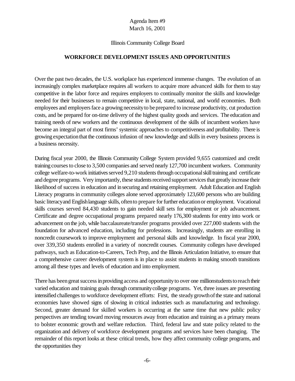#### Illinois Community College Board

#### **WORKFORCE DEVELOPMENT ISSUES AND OPPORTUNITIES**

Over the past two decades, the U.S. workplace has experienced immense changes. The evolution of an increasingly complex marketplace requires all workers to acquire more advanced skills for them to stay competitive in the labor force and requires employers to continually monitor the skills and knowledge needed for their businesses to remain competitive in local, state, national, and world economies. Both employees and employers face a growing necessity to be prepared to increase productivity, cut production costs, and be prepared for on-time delivery of the highest quality goods and services. The education and training needs of new workers and the continuous development of the skills of incumbent workers have become an integral part of most firms' systemic approaches to competitiveness and profitability. There is growing expectationthat the continuous infusion of new knowledge and skills in every business process is a business necessity.

During fiscal year 2000, the Illinois Community College System provided 9,655 customized and credit training courses to close to 3,500 companies and served nearly 127,700 incumbent workers. Community college welfare-to-work initiatives served 9,210 students through occupational skill training and certificate and degree programs. Very importantly, these students received support services that greatly increase their likelihood of success in education and insecuring and retaining employment. Adult Education and English Literacy programs in community colleges alone served approximately 123,600 persons who are building basic literacyand Englishlanguage skills, oftento prepare forfurther educationor employment. Vocational skills courses served 84,430 students to gain needed skill sets for employment or job advancement. Certificate and degree occupational programs prepared nearly 176,300 students for entry into work or advancement onthe job, while baccalaureate/transfer programs provided over 227,000 students with the foundation for advanced education, including for professions. Increasingly, students are enrolling in noncredit coursework to improve employment and personal skills and knowledge. In fiscal year 2000, over 339,350 students enrolled in a variety of noncredit courses. Community colleges have developed pathways, such as Education-to-Careers, Tech Prep, and the Illinois Articulation Initiative, to ensure that a comprehensive career development system is in place to assist students in making smooth transitions among all these types and levels of education and into employment.

There has been great success in providing access and opportunity to over one millionstudents to reach their varied education and training goals through communitycollege programs. Yet, three issues are presenting intensified challenges to workforce development efforts: First, the steadygrowthofthe state and national economies have showed signs of slowing in critical industries such as manufacturing and technology. Second, greater demand for skilled workers is occurring at the same time that new public policy perspectives are tending toward moving resources away from education and training as a primary means to bolster economic growth and welfare reduction. Third, federal law and state policy related to the organization and delivery of workforce development programs and services have been changing. The remainder of this report looks at these critical trends, how they affect community college programs, and the opportunities they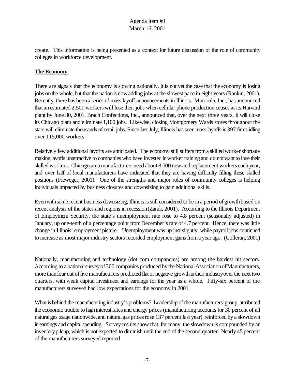create. This information is being presented as a context for future discussion of the role of community colleges in workforce development.

## **The Economy**

There are signals that the economy is slowing nationally. It is not yet the case that the economy is losing jobs onthe whole, but that the nationis nowadding jobs at the slowest pace in eight years (Rankin, 2001). Recently, there has been a series of mass layoff announcements in Illinois. Motorola, Inc., has announced that anestimated 2,500 workers will lose their jobs when cellular phone production ceases at its Harvard plant by June 30, 2001. Brach Confections, Inc., announced that, over the next three years, it will close its Chicago plant and eliminate 1,100 jobs. Likewise, closing Montgomery Wards stores throughout the state will eliminate thousands of retail jobs. Since last July, Illinois has seen mass layoffs in 397 firms idling over 115,000 workers.

Relatively few additional layoffs are anticipated. The economy still suffers from a skilled worker shortage making layoffs unattractive to companies who have invested inworker training and do notwant to lose their skilled workers. Chicago area manufacturers need about 8,000 new and replacement workers each year, and over half of local manufacturers have indicated that they are having difficulty filling these skilled positions (Fieweger, 2001). One of the strengths and major roles of community colleges is helping individuals impacted by business closures and downsizing to gain additional skills.

Even with some recent business downsizing, Illinois is still considered to be in a period of growth based on recent analysis of the states and regions in recession(Zandi, 2001). According to the Illinois Department of Employment Security, the state's unemployment rate rose to 4.8 percent (seasonally adjusted) in January, up one-tenth of a percentage point from December's rate of 4.7 percent. Hence, there was little change in Illinois' employment picture. Unemployment was up just slightly, while payroll jobs continued to increase as most major industry sectors recorded employment gains from a year ago. (Colleran, 2001)

Nationally, manufacturing and technology (dot com compancies) are among the hardest hit sectors. According to a national survey of 300 companies produced by the National Association of Manufacturers, more than four out of five manufacturers predicted flat or negative growth in their industryover the next two quarters, with weak capital investment and earnings for the year as a whole. Fifty-six percent of the manufacturers surveyed had low expectations for the economy in 2001.

What is behind the manufacturing industry's problems? Leadership of the manufacturers' group, attributed the economic trouble to high interest rates and energy prices (manufacturing accounts for 30 percent of all natural gas usage nationwide, and natural gas prices rose 137 percent last year) reinforced by a slowdown in earnings and capital spending. Survey results show that, for many, the slowdown is compounded by an inventorypileup, which is not expected to diminish until the end of the second quarter. Nearly 45 percent of the manufacturers surveyed reported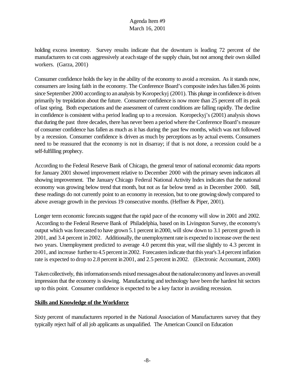holding excess inventory. Survey results indicate that the downturn is leading 72 percent of the manufacturers to cut costs aggressively at eachstage of the supply chain, but not among their own skilled workers. (Garza, 2001)

Consumer confidence holds the key in the ability of the economy to avoid a recession. As it stands now, consumers are losing faith in the economy. The Conference Board's composite indexhasfallen36 points since September 2000 according to an analysis by Koropeckyj (2001). This plunge in confidence is driven primarily by trepidation about the future. Consumer confidence is now more than 25 percent off its peak oflast spring. Both expectations and the assessment of current conditions are falling rapidly. The decline in confidence is consistent witha period leading up to a recession. Koropeckyj's (2001) analysis shows that during the past three decades, there has never been a period where the Conference Board's measure of consumer confidence has fallen as much as it has during the past few months, which was not followed by a recession. Consumer confidence is driven as much by perceptions as by actual events. Consumers need to be reassured that the economy is not in disarray; if that is not done, a recession could be a self-fulfilling prophecy.

According to the Federal Reserve Bank of Chicago, the general tenor of national economic data reports for January 2001 showed improvement relative to December 2000 with the primary seven indicators all showing improvement. The January Chicago Federal National Activity Index indicates that the national economy was growing below trend that month, but not as far below trend as in December 2000. Still, these readings do not currently point to an economy in recession, but to one growing slowly compared to above average growth in the previous 19 consecutive months. (Heffner & Piper, 2001).

Longer term economic forecasts suggest that the rapid pace of the economy will slow in 2001 and 2002. According to the Federal Reserve Bank of Philadelphia, based on its Livingston Survey, the economy's output which wasforecasted to have grown 5.1 percent in2000, will slow down to 3.1 percent growth in 2001, and 3.4 percent in 2002. Additionally, the unemployment rate is expected to increase over the next two years. Unemployment predicted to average 4.0 percent this year, will rise slightly to 4.3 percent in 2001, and increase further to 4.5 percent in 2002. Forecasters indicate that this year's 3.4 percent inflation rate is expected to drop to 2.8 percent in2001, and 2.5 percent in2002. (Electronic Accountant, 2000)

Taken collectively, this information sends mixed messages about the nationaleconomy and leaves an overall impression that the economy is slowing. Manufacturing and technology have beenthe hardest hit sectors up to this point. Consumer confidence is expected to be a key factor in avoiding recession.

## **Skills and Knowledge of the Workforce**

Sixty percent of manufacturers reported in the National Association of Manufacturers survey that they typically reject half of all job applicants as unqualified. The American Council on Education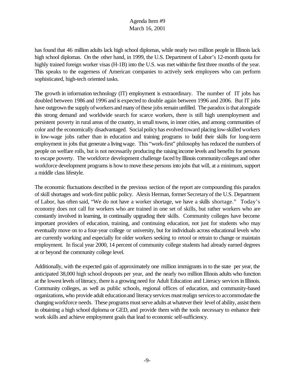has found that 46 million adults lack high school diplomas, while nearly two million people in Illinois lack high school diplomas. On the other hand, in 1999, the U.S. Department of Labor's 12-month quota for highly trained foreign worker visas (H-1B) into the U.S. was met within the first three months of the year. This speaks to the eagerness of American companies to actively seek employees who can perform sophisticated, high-tech oriented tasks.

The growth in information technology (IT) employment is extraordinary. The number of IT jobs has doubled between 1986 and 1996 and is expected to double again between 1996 and 2006. But IT jobs have outgrown the supply of workers and many of these jobs remain unfilled. The paradox is that alongside this strong demand and worldwide search for scarce workers, there is still high unemployment and persistent poverty in rural areas of the country, in small towns, in inner cities, and among communities of color and the economically disadvantaged. Socialpolicyhas evolved toward placing low-skilled workers in low-wage jobs rather than in education and training programs to build their skills for long-term employment in jobs that generate a livingwage. This "work-first" philosophy has reduced the numbers of people on welfare rolls, but is not necessarily producing the raising income levels and benefits for persons to escape poverty. The workforce development challenge faced byIllinois communitycolleges and other workforce development programs is howto move these persons into jobs that will, at a minimum, support a middle class lifestyle.

The economic fluctuations described in the previous section of the report are compounding this paradox of skill shortages and work-first public policy. Alexis Herman, former Secretaryof the U.S. Department of Labor, has often said, "We do not have a worker shortage, we have a skills shortage." Today's economy does not call for workers who are trained in one set of skills, but rather workers who are constantly involved in learning, in continually upgrading their skills. Community colleges have become important providers of education, training, and continuing education, not just for students who may eventually move on to a four-year college or university, but for individuals across educational levels who are currently working and especially for older workers seeking to retool or retrain to change or maintain employment. In fiscal year 2000, 14 percent of community college students had already earned degrees at or beyond the community college level.

Additionally, with the expected gain of approximately one million immigrants in to the state per year, the anticipated 38,000 high school dropouts per year, and the nearly two million Illinois adults who function at the lowest levels of literacy, there is a growing need for Adult Education and Literacy services in Illinois. Community colleges, as well as public schools, regional offices of education, and community-based organizations, who provide adult educationand literacyservices mustrealign servicesto accommodate the changingworkforce needs. These programs must serve adults at whatever their level of ability, assist them in obtaining a high school diploma or GED, and provide them with the tools necessary to enhance their work skills and achieve employment goals that lead to economic self-sufficiency.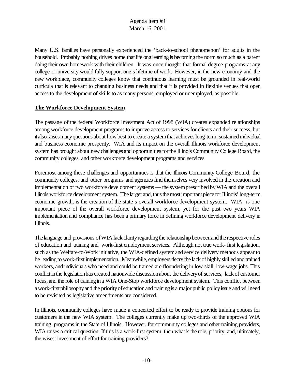Many U.S. families have personally experienced the 'back-to-school phenomenon' for adults in the household. Probably nothing drives home that lifelong learning is becoming the norm so much as a parent doing their own homework with their children. It was once thought that formal degree programs at any college or university would fully support one's lifetime of work. However, in the new economy and the new workplace, community colleges know that continuous learning must be grounded in real-world curricula that is relevant to changing business needs and that it is provided in flexible venues that open access to the development of skills to as many persons, employed or unemployed, as possible.

## **The Workforce Development System**

The passage of the federal Workforce Investment Act of 1998 (WIA) creates expanded relationships among workforce development programs to improve access to services for clients and their success, but it also raises many questions about how best to create a system that achieves long-term, sustained individual and business economic prosperity. WIA and its impact on the overall Illinois workforce development system has brought about new challenges and opportunities for the Illinois Community College Board, the community colleges, and other workforce development programs and services.

Foremost among these challenges and opportunities is that the Illinois Community College Board, the community colleges, and other programs and agencies find themselves very involved in the creation and implementation of two workforce development systems — the systemprescribed byWIA and the overall Illinois workforce development system. The larger and, thus the most important piece for Illinois' long-term economic growth, is the creation of the state's overall workforce development system. WIA is one important piece of the overall workforce development system, yet for the past two years WIA implementation and compliance has been a primary force in defining workforce development delivery in Illinois.

The language and provisions ofWIA lack clarityregarding the relationship betweenand the respective roles of education and training and work-first employment services. Although not true work- first legislation, such as the Welfare-to-Work initiative, the WIA-defined systemand service delivery methods appear to be leading to work-first implementation. Meanwhile, employers decry the lack of highly skilled and trained workers, and individuals who need and could be trained are floundering in low-skill, low-wage jobs. This conflict inthe legislationhas created nationwide discussionabout the deliveryof services, lack of customer focus, and the role oftraining ina WIA One-Stop workforce development system. This conflict between a work-first philosophy and the priority of education and training is a major public policy issue and will need to be revisited as legislative amendments are considered.

In Illinois, community colleges have made a concerted effort to be ready to provide training options for customers in the new WIA system. The colleges currently make up two-thirds of the approved WIA training programs in the State of Illinois. However, for community colleges and other training providers, WIA raises a critical question: If this is a work-first system, then what is the role, priority, and, ultimately, the wisest investment of effort for training providers?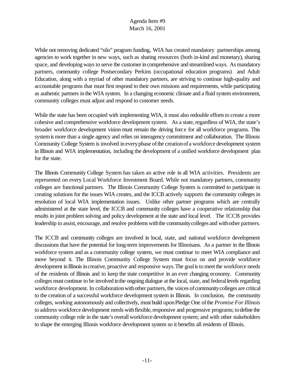While not removing dedicated "silo" program funding, WIA has created mandatory partnerships among agencies to work together in new ways, such as sharing resources (both in-kind and monetary), sharing space, and developing ways to serve the customer in comprehensive and streamlined ways. As mandatory partners, community college Postsecondary Perkins (occupational education programs) and Adult Education, along with a myriad of other mandatory partners, are striving to continue high-quality and accountable programs that must first respond to their own missions and requirements, while participating as authentic partners in the WIA system. In a changing economic climate and a fluid system environment, community colleges must adjust and respond to customer needs.

While the state has been occupied with implementing WIA, it must also redouble efforts to create a more cohesive and comprehensive workforce development system. As a state, regardless of WIA, the state's broader workforce development vision must remain the driving force for all workforce programs. This system is more than a single agency and relies on interagency commitment and collaboration. The Illinois Community College System is involved in every phase of the creation of a workforce development system in Illinois and WIA implementation, including the development of a unified workforce development plan for the state.

The Illinois Community College System has taken an active role in all WIA activities. Presidents are represented on every Local Workforce Investment Board. While not mandatory partners, community colleges are functional partners. The Illinois Community College System is committed to participate in creating solutions for the issues WIA creates, and the ICCB actively supports the community colleges in resolution of local WIA implementation issues. Unlike other partner programs which are centrally administered at the state level, the ICCB and community colleges have a cooperative relationship that results in joint problem solving and policy development at the state and local level. The ICCB provides leadership to assist, encourage, and resolve problems withthe communitycolleges and withother partners.

The ICCB and community colleges are involved in local, state, and national workforce development discussions that have the potential for long-term improvements for Illinoisans. As a partner in the Illinois workforce system and as a community college system, we must continue to meet WIA compliance and move beyond it. The Illinois Community College System must focus on and provide workforce development in Illinois in creative, proactive and responsive ways. The goal is to meet the workforce needs of the residents of Illinois and to keep the state competitive in an ever changing economy. Community colleges must continue to be involved in the ongoing dialogue at the local, state, and federal levels regarding workforce development. In collaboration with other partners, the voices of community colleges are critical to the creation of a successful workforce development system in Illinois. In conclusion, the community colleges, working autonomously and collectively, must build uponPledge One ofthe *Promise ForIllinois* to address workforce development needs with flexible, responsive and progressive programs; to define the community college role in the state's overall workforce development system; and with other stakeholders to shape the emerging Illinois workforce development system so it benefits all residents of Illinois.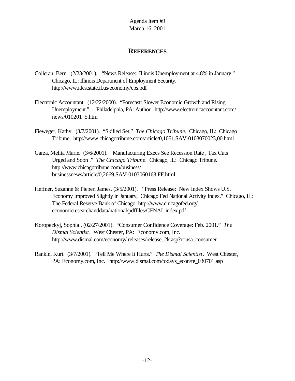## **REFERENCES**

- Colleran, Bern. (2/23/2001). "News Release: Illinois Unemployment at 4.8% in January." Chicago, IL: Illinois Department of Employment Security. http://www.ides.state.il.us/economy/cps.pdf
- Electronic Accountant. (12/22/2000). "Forecast: Slower Economic Growth and Rising Unemployment." Philadelphia, PA: Author. http://www.electronicaccountant.com/ news/010201\_5.htm
- Fieweger, Kathy. (3/7/2001). "Skilled Set." *The Chicago Tribune*. Chicago, IL: Chicago Tribune. http://www.chicagotribune.com/article/0,1051,SAV-0103070023,00.html
- Garza, Melita Marie. (3/6/2001). "Manufacturing Execs See Recession Rate , Tax Cuts Urged and Soon ." *The Chicago Tribune*. Chicago, IL: Chicago Tribune. http://www.chicagotribune.com/business/ businessnews/article/0,2669,SAV-0103060168,FF.html
- Heffner, Suzanne & Pieper, James. (3/5/2001). "Press Release: New Index Shows U.S. Economy Improved Slightly in January, Chicago Fed National Activity Index." Chicago, IL: The Federal Reserve Bank of Chicago. http://www.chicagofed.org/ economicresearchanddata/national/pdffiles/CFNAI\_index.pdf
- Koropeckyj, Sophia . (02/27/2001). "Consumer Confidence Coverage: Feb. 2001." *The Dismal Scientist*. West Chester, PA: Economy.com, Inc. http://www.dismal.com/economy/ releases/release\_2k.asp?r=usa\_consumer
- Rankin, Kurt. (3/7/2001). "Tell Me Where It Hurts." *The Dismal Scientist*. West Chester, PA: Economy.com, Inc. http://www.dismal.com/todays\_econ/te\_030701.asp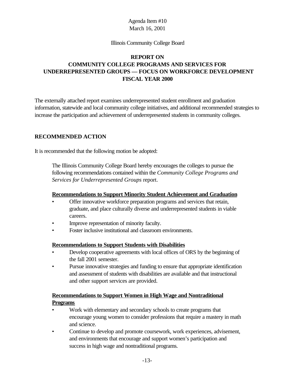#### Illinois Community College Board

# **REPORT ON COMMUNITY COLLEGE PROGRAMS AND SERVICES FOR UNDERREPRESENTED GROUPS — FOCUS ON WORKFORCE DEVELOPMENT FISCAL YEAR 2000**

The externally attached report examines underrepresented student enrollment and graduation information, statewide and local community college initiatives, and additional recommended strategies to increase the participation and achievement of underrepresented students in community colleges.

#### **RECOMMENDED ACTION**

It is recommended that the following motion be adopted:

The Illinois Community College Board hereby encourages the colleges to pursue the following recommendations contained within the *Community College Programs and Services for Underrepresented Groups* report.

#### **Recommendations to Support Minority Student Achievement and Graduation**

- Offer innovative workforce preparation programs and services that retain, graduate, and place culturally diverse and underrepresented students in viable careers.
- Improve representation of minority faculty.
- Foster inclusive institutional and classroom environments.

#### **Recommendations to Support Students with Disabilities**

- Develop cooperative agreements with local offices of ORS by the beginning of the fall 2001 semester.
- Pursue innovative strategies and funding to ensure that appropriate identification and assessment of students with disabilities are available and that instructional and other support services are provided.

## **Recommendations to Support Women in High Wage and Nontraditional Programs**

- Work with elementary and secondary schools to create programs that encourage young women to consider professions that require a mastery in math and science.
- Continue to develop and promote coursework, work experiences, advisement, and environments that encourage and support women's participation and success in high wage and nontraditional programs.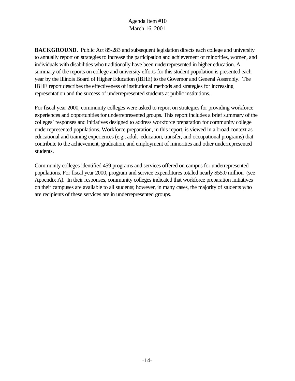**BACKGROUND**. Public Act 85-283 and subsequent legislation directs each college and university to annually report on strategies to increase the participation and achievement of minorities, women, and individuals with disabilities who traditionally have been underrepresented in higher education. A summary of the reports on college and university efforts for this student population is presented each year by the Illinois Board of Higher Education (IBHE) to the Governor and General Assembly. The IBHE report describes the effectiveness of institutional methods and strategies for increasing representation and the success of underrepresented students at public institutions.

For fiscal year 2000, community colleges were asked to report on strategies for providing workforce experiences and opportunities for underrepresented groups. This report includes a brief summary of the colleges' responses and initiatives designed to address workforce preparation for community college underrepresented populations. Workforce preparation, in this report, is viewed in a broad context as educational and training experiences (e.g., adult education, transfer, and occupational programs) that contribute to the achievement, graduation, and employment of minorities and other underrepresented students.

Community colleges identified 459 programs and services offered on campus for underrepresented populations. For fiscal year 2000, program and service expenditures totaled nearly \$55.0 million (see Appendix A). In their responses, community colleges indicated that workforce preparation initiatives on their campuses are available to all students; however, in many cases, the majority of students who are recipients of these services are in underrepresented groups.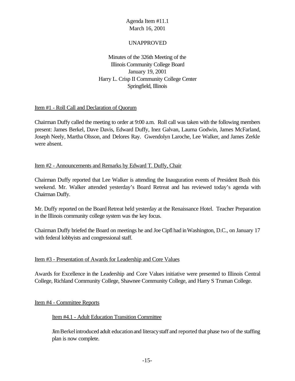## UNAPPROVED

Minutes of the 326th Meeting of the Illinois Community College Board January 19, 2001 Harry L. Crisp II Community College Center Springfield, Illinois

#### Item #1 - Roll Call and Declaration of Quorum

Chairman Duffy called the meeting to order at 9:00 a.m. Roll call was taken with the following members present: James Berkel, Dave Davis, Edward Duffy, Inez Galvan, Laurna Godwin, James McFarland, Joseph Neely, Martha Olsson, and Delores Ray. Gwendolyn Laroche, Lee Walker, and James Zerkle were absent.

## Item #2 - Announcements and Remarks by Edward T. Duffy, Chair

Chairman Duffy reported that Lee Walker is attending the Inauguration events of President Bush this weekend. Mr. Walker attended yesterday's Board Retreat and has reviewed today's agenda with Chairman Duffy.

Mr. Duffy reported on the Board Retreat held yesterday at the Renaissance Hotel. Teacher Preparation in the Illinois community college system was the key focus.

Chairman Duffy briefed the Board on meetings he and JoeCipfl had inWashington, D.C., on January 17 with federal lobbyists and congressional staff.

## Item #3 - Presentation of Awards for Leadership and Core Values

Awards for Excellence in the Leadership and Core Values initiative were presented to Illinois Central College, Richland Community College, Shawnee Community College, and Harry S Truman College.

#### Item #4 - Committee Reports

#### Item #4.1 - Adult Education Transition Committee

JimBerkelintroduced adult educationand literacystaff and reported that phase two of the staffing plan is now complete.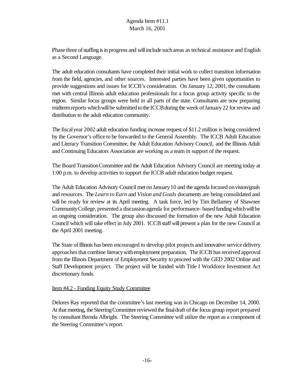Phase three of staffing is in progress and will include such areas as technical assistance and English as a Second Language.

The adult education consultants have completed their initial work to collect transition information from the field, agencies, and other sources. Interested parties have been given opportunities to provide suggestions and issues for ICCB's consideration. On January 12, 2001, the consultants met with central Illinois adult education professionals for a focus group activity specific to the region. Similar focus groups were held in all parts of the state. Consultants are now preparing midterm reports which will be submitted to the ICCB during the week of January 22 for review and distribution to the adult education community.

The fiscalyear 2002 adult education funding increase request of \$11.2 million is being considered by the Governor's office to be forwarded to the General Assembly. The ICCB Adult Education and Literacy Transition Committee, the Adult Education Advisory Council, and the Illinois Adult and Continuing Educators Association are working as a team in support of the request.

The Board TransitionCommittee and the Adult Education Advisory Council are meeting today at 1:00 p.m. to develop activities to support the ICCB adult education budget request.

The Adult Education Advisory Council met on January 10 and the agenda focused on vision/goals and resources. The *Learn to Earn* and *Vision and Goals* documents are being consolidated and will be ready for review at its April meeting. A task force, led by Tim Bellamey of Shawnee Community College, presented a discussion agenda for performance- based funding which will be an ongoing consideration. The group also discussed the formation of the new Adult Education Council which will take effect in July 2001. ICCB staff will present a plan for the new Council at the April 2001 meeting.

The State of Illinois has been encouraged to develop pilot projects and innovative service delivery approaches that combine literacy with employment preparation. The ICCB has received approval from the Illinois Department of Employment Security to proceed with the GED 2002 Online and Staff Development project. The project will be funded with Title I Workforce Investment Act discretionary funds.

## Item #4.2 - Funding Equity Study Committee

Delores Ray reported that the committee's last meeting was in Chicago on December 14, 2000. At that meeting, the Steering Committee reviewed the final draft of the focus group report prepared by consultant Brenda Albright. The Steering Committee will utilize the report as a component of the Steering Committee's report.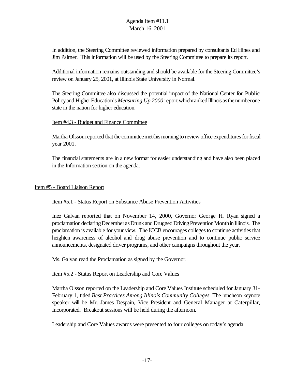In addition, the Steering Committee reviewed information prepared by consultants Ed Hines and Jim Palmer. This information will be used by the Steering Committee to prepare its report.

Additional information remains outstanding and should be available for the Steering Committee's review on January 25, 2001, at Illinois State University in Normal.

The Steering Committee also discussed the potential impact of the National Center for Public Policy and Higher Education's *Measuring Up* 2000 report which ranked Illinois as the number one state in the nation for higher education.

#### Item #4.3 - Budget and Finance Committee

Martha Olsson reported that the committee met this morning to review office expenditures for fiscal year 2001.

The financial statements are in a new format for easier understanding and have also been placed in the Information section on the agenda.

#### Item #5 - Board Liaison Report

#### Item #5.1 - Status Report on Substance Abuse Prevention Activities

Inez Galvan reported that on November 14, 2000, Governor George H. Ryan signed a proclamation declaring December as Drunk and Drugged Driving Prevention Month in Illinois. The proclamation is available for your view. The ICCB encourages colleges to continue activities that heighten awareness of alcohol and drug abuse prevention and to continue public service announcements, designated driver programs, and other campaigns throughout the year.

Ms. Galvan read the Proclamation as signed by the Governor.

#### Item #5.2 - Status Report on Leadership and Core Values

Martha Olsson reported on the Leadership and Core Values Institute scheduled for January 31- February 1, titled *Best Practices Among Illinois Community Colleges.* The luncheon keynote speaker will be Mr. James Despain, Vice President and General Manager at Caterpillar, Incorporated. Breakout sessions will be held during the afternoon.

Leadership and Core Values awards were presented to four colleges on today's agenda.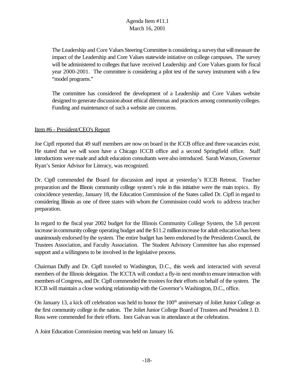The Leadership and Core Values Steering Committee is considering a survey that will measure the impact of the Leadership and Core Values statewide initiative on college campuses. The survey will be administered to colleges that have received Leadership and Core Values grants for fiscal year 2000-2001. The committee is considering a pilot test of the survey instrument with a few "model programs."

The committee has considered the development of a Leadership and Core Values website designed to generate discussionabout ethical dilemmas and practices among communitycolleges. Funding and maintenance of such a website are concerns.

## Item #6 - President/CEO's Report

Joe Cipfl reported that 49 staff members are now on board in the ICCB office and three vacancies exist. He stated that we will soon have a Chicago ICCB office and a second Springfield office. Staff introductions were made and adult education consultants were also introduced. Sarah Watson, Governor Ryan's Senior Advisor for Literacy, was recognized.

Dr. Cipfl commended the Board for discussion and input at yesterday's ICCB Retreat. Teacher preparation and the Illinois community college system's role in this initiative were the main topics. By coincidence yesterday, January 18, the Education Commission of the States called Dr. Cipfl in regard to considering Illinois as one of three states with whom the Commission could work to address teacher preparation.

In regard to the fiscal year 2002 budget for the Illinois Community College System, the 5.8 percent increase in community college operating budget and the \$11.2 million increase for adult education has been unanimously endorsed bythe system. The entire budget has been endorsed bythe PresidentsCouncil, the Trustees Association, and Faculty Association. The Student Advisory Committee has also expressed support and a willingness to be involved in the legislative process.

Chairman Duffy and Dr. Cipfl traveled to Washington, D.C., this week and interacted with several members of the Illinois delegation. The ICCTA will conduct a fly-in next monthto ensure interaction with members of Congress, and Dr. Cipfl commended the trustees for their efforts on behalf of the system. The ICCB will maintain a close working relationship with the Governor's Washington, D.C., office.

On January 13, a kick off celebration was held to honor the 100<sup>th</sup> anniversary of Joliet Junior College as the first community college in the nation. The Joliet Junior College Board of Trustees and President J. D. Ross were commended for their efforts. Inez Galvan was in attendance at the celebration.

A Joint Education Commission meeting was held on January 16.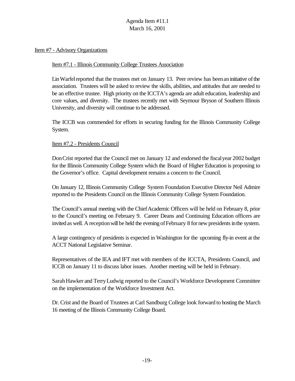#### Item #7 - Advisory Organizations

#### Item #7.1 - Illinois Community College Trustees Association

Lin Warfel reported that the trustees met on January 13. Peer review has been an initiative of the association. Trustees will be asked to review the skills, abilities, and attitudes that are needed to be an effective trustee. High priority on the ICCTA's agenda are adult education, leadership and core values, and diversity. The trustees recently met with Seymour Bryson of Southern Illinois University, and diversity will continue to be addressed.

The ICCB was commended for efforts in securing funding for the Illinois Community College System.

#### Item #7.2 - Presidents Council

DonCrist reported that the Council met on January 12 and endorsed the fiscalyear 2002 budget for the Illinois Community College System which the Board of Higher Education is proposing to the Governor's office. Capital development remains a concern to the Council.

On January 12, Illinois Community College System Foundation Executive Director Neil Admire reported to the Presidents Council on the Illinois Community College System Foundation.

The Council's annual meeting with the Chief Academic Officers will be held on February 8, prior to the Council's meeting on February 9. Career Deans and Continuing Education officers are invited as well. A reception will be held the evening of February 8 for new presidents in the system.

A large contingency of presidents is expected in Washington for the upcoming fly-in event at the ACCT National Legislative Seminar.

Representatives of the IEA and IFT met with members of the ICCTA, Presidents Council, and ICCB on January 11 to discuss labor issues. Another meeting will be held in February.

SarahHawker and TerryLudwig reported to the Council's Workforce Development Committee on the implementation of the Workforce Investment Act.

Dr. Crist and the Board of Trustees at Carl Sandburg College look forward to hosting the March 16 meeting of the Illinois Community College Board.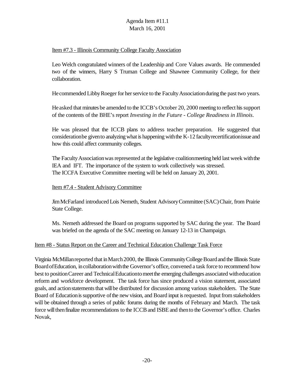## Item #7.3 - Illinois Community College Faculty Association

Leo Welch congratulated winners of the Leadership and Core Values awards. He commended two of the winners, Harry S Truman College and Shawnee Community College, for their collaboration.

He commended Libby Roeger for her service to the Faculty Association during the past two years.

Heasked that minutes be amended to the ICCB's October 20, 2000 meeting to reflect hissupport of the contents of the BHE's report *Investing in the Future - College Readiness in Illinois*.

He was pleased that the ICCB plans to address teacher preparation. He suggested that consideration be given to analyzing what is happening with the K-12 faculty recertification issue and how this could affect community colleges.

The Faculty Association was represented at the legislative coalition meeting held last week with the IEA and IFT. The importance of the system to work collectively was stressed. The ICCFA Executive Committee meeting will be held on January 20, 2001.

#### Item #7.4 - Student Advisory Committee

JimMcFarland introduced Lois Nemeth, Student AdvisoryCommittee (SAC)Chair, from Prairie State College.

Ms. Nemeth addressed the Board on programs supported by SAC during the year. The Board was briefed on the agenda of the SAC meeting on January 12-13 in Champaign.

## Item #8 - Status Report on the Career and Technical Education Challenge Task Force

Virginia McMillan reported that in March 2000, the Illinois Community College Board and the Illinois State Board of Education, in collaboration with the Governor's office, convened a task force to recommend how best to position Career and Technical Education to meet the emerging challenges associated with education reform and workforce development. The task force has since produced a vision statement, associated goals, and action statements that will be distributed for discussion among various stakeholders. The State Board of Education is supportive of the new vision, and Board input is requested. Input from stakeholders will be obtained through a series of public forums during the months of February and March. The task force will then finalize recommendations to the ICCB and ISBE and then to the Governor's office. Charles Novak,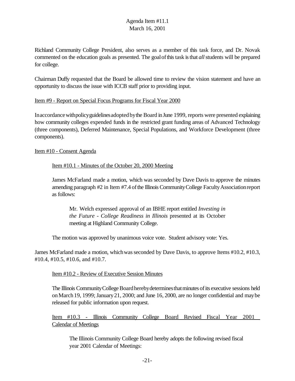Richland Community College President, also serves as a member of this task force, and Dr. Novak commented on the education goals as presented. The goal of this task is that *all* students will be prepared for college.

Chairman Duffy requested that the Board be allowed time to review the vision statement and have an opportunity to discuss the issue with ICCB staff prior to providing input.

#### Item #9 - Report on Special Focus Programs for Fiscal Year 2000

Inaccordancewithpolicyguidelinesadoptedbythe Board inJune 1999, reports were presented explaining how community colleges expended funds in the restricted grant funding areas of Advanced Technology (three components), Deferred Maintenance, Special Populations, and Workforce Development (three components).

#### Item #10 - Consent Agenda

## Item #10.1 - Minutes of the October 20, 2000 Meeting

James McFarland made a motion, which was seconded by Dave Davis to approve the minutes amending paragraph #2 in Item #7.4 of the Illinois Community College Faculty Association report as follows:

Mr. Welch expressed approval of an IBHE report entitled *Investing in the Future - College Readiness in Illinois* presented at its October meeting at Highland Community College.

The motion was approved by unanimous voice vote. Student advisory vote: Yes.

James McFarland made a motion, whichwasseconded by Dave Davis, to approve Items #10.2, #10.3, #10.4, #10.5, #10.6, and #10.7.

## Item #10.2 - Review of Executive Session Minutes

The Illinois Community College Board hereby determines that minutes of its executive sessions held on March 19, 1999; January 21, 2000; and June 16, 2000, are no longer confidential and may be released for public information upon request.

Item #10.3 - Illinois Community College Board Revised Fiscal Year 2001 Calendar of Meetings

The Illinois Community College Board hereby adopts the following revised fiscal year 2001 Calendar of Meetings: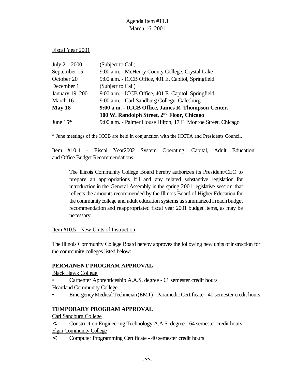Fiscal Year 2001

| (Subject to Call)                                             |
|---------------------------------------------------------------|
| 9:00 a.m. - McHenry County College, Crystal Lake              |
| 9:00 a.m. - ICCB Office, 401 E. Capitol, Springfield          |
| (Subject to Call)                                             |
| 9:00 a.m. - ICCB Office, 401 E. Capitol, Springfield          |
| 9:00 a.m. - Carl Sandburg College, Galesburg                  |
| 9:00 a.m. - ICCB Office, James R. Thompson Center,            |
| 100 W. Randolph Street, 2 <sup>nd</sup> Floor, Chicago        |
| 9:00 a.m. - Palmer House Hilton, 17 E. Monroe Street, Chicago |
|                                                               |

\* June meetings of the ICCB are held in conjunction with the ICCTA and Presidents Council.

Item #10.4 - Fiscal Year2002 System Operating, Capital, Adult Education and Office Budget Recommendations

The Illinois Community College Board hereby authorizes its President/CEO to prepare an appropriations bill and any related substantive legislation for introduction in the General Assembly in the spring 2001 legislative session that reflects the amounts recommended by the Illinois Board of Higher Education for the community college and adult education systems as summarized in each budget recommendation and reappropriated fiscal year 2001 budget items, as may be necessary.

#### Item #10.5 - New Units of Instruction

The Illinois Community College Board hereby approves the following new units ofinstruction for the community colleges listed below:

## **PERMANENT PROGRAM APPROVAL**

Black Hawk College

- Carpenter Apprenticeship A.A.S. degree 61 semester credit hours Heartland Community College
- EmergencyMedicalTechnician(EMT)- ParamedicCertificate 40 semester credit hours

## **TEMPORARY PROGRAM APPROVAL**

Carl Sandburg College

< Construction Engineering Technology A.A.S. degree - 64 semester credit hours Elgin Community College

< Computer Programming Certificate - 40 semester credit hours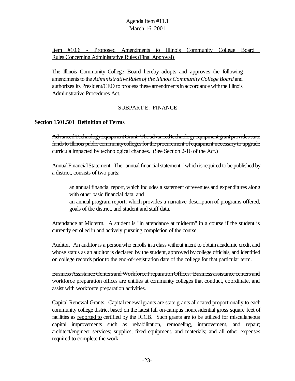Item #10.6 - Proposed Amendments to Illinois Community College Board Rules Concerning Administrative Rules (Final Approval)

The Illinois Community College Board hereby adopts and approves the following amendments to the *Administrative Rules of the Illinois Community College Board* and authorizes its President/CEO to process these amendments in accordance with the Illinois Administrative Procedures Act.

#### SUBPART E: FINANCE

#### **Section 1501.501 Definition of Terms**

AdvancedTechnologyEquipmentGrant. The advanced technology equipment grant provides state funds to Illinois public community colleges for the procurement of equipment necessary to upgrade curricula impacted by technological changes. (See Section 2-16 of the Act.)

AnnualFinancialStatement. The "annual financial statement," which is required to be published by a district, consists of two parts:

an annual financial report, which includes a statement ofrevenues and expenditures along with other basic financial data; and

an annual program report, which provides a narrative description of programs offered, goals of the district, and student and staff data.

Attendance at Midterm. A student is "in attendance at midterm" in a course if the student is currently enrolled in and actively pursuing completion of the course.

Auditor. An auditor is a personwho enrolls ina class without intent to obtain academic credit and whose status as an auditor is declared by the student, approved bycollege officials, and identified on college records prior to the end-of-registration date of the college for that particular term.

Business Assistance Centers and Workforce Preparation Offices. Business assistance centers and workforce preparation offices are entities at community colleges that conduct, coordinate, and assist with workforce preparation activities.

Capital Renewal Grants. Capital renewal grants are state grants allocated proportionally to each community college district based on the latest fall on-campus nonresidential gross square feet of facilities as reported to certified by the ICCB. Such grants are to be utilized for miscellaneous capital improvements such as rehabilitation, remodeling, improvement, and repair; architect/engineer services; supplies, fixed equipment, and materials; and all other expenses required to complete the work.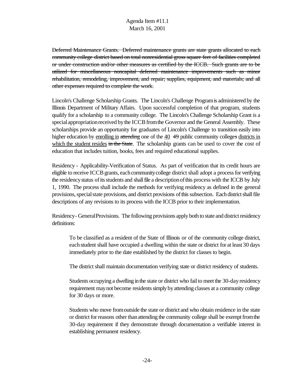Deferred Maintenance Grants. Deferred maintenance grants are state grants allocated to each community college district based on total nonresidential gross square feet of facilities completed or under construction and/or other measures as certified by the ICCB. Such grants are to be utilized for miscellaneous noncapital deferred maintenance improvements such as minor rehabilitation, remodeling, improvement, and repair; supplies, equipment, and materials; and all other expenses required to complete the work.

Lincoln's Challenge Scholarship Grants. The Lincoln's Challenge Programis administered by the Illinois Department of Military Affairs. Upon successful completion of that program, students qualify for a scholarship to a community college. The Lincoln's Challenge Scholarship Grant is a special appropriation received by the ICCB from the Governor and the General Assembly. These scholarships provide an opportunity for graduates of Lincoln's Challenge to transition easily into higher education by enrolling in attending one of the 40  $\frac{40}{7}$  public community colleges districts in which the student resides in the State. The scholarship grants can be used to cover the cost of education that includes tuition, books, fees and required educational supplies.

Residency - Applicability-Verification of Status. As part of verification that its credit hours are eligible to receive ICCB grants, each community college district shall adopt a process for verifying the residency status of its students and shall file a description of this process with the ICCB by July 1, 1990. The process shall include the methods for verifying residency as defined in the general provisions, special state provisions, and district provisions of this subsection. Each district shall file descriptions of any revisions to its process with the ICCB prior to their implementation.

Residency- GeneralProvisions. The following provisions apply both to state and district residency definitions:

To be classified as a resident of the State of Illinois or of the community college district, each student shall have occupied a dwelling within the state or district for at least 30 days immediately prior to the date established by the district for classes to begin.

The district shall maintain documentation verifying state or district residency of students.

Students occupying a dwelling inthe state or district who fail to meet the 30-day residency requirement may not become residents simply by attending classes at a community college for 30 days or more.

Students who move fromoutside the state or district and who obtain residence in the state or district for reasons other than attending the community college shall be exempt from the 30-day requirement if they demonstrate through documentation a verifiable interest in establishing permanent residency.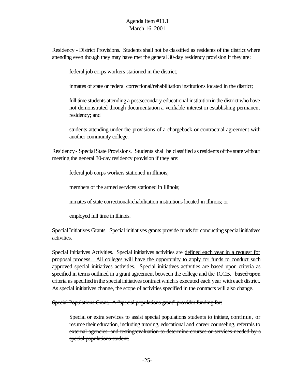Residency - District Provisions. Students shall not be classified as residents of the district where attending even though they may have met the general 30-day residency provision if they are:

federal job corps workers stationed in the district;

inmates of state or federal correctional/rehabilitation institutions located in the district;

full-time students attending a postsecondary educational institution in the district who have not demonstrated through documentation a verifiable interest in establishing permanent residency; and

students attending under the provisions of a chargeback or contractual agreement with another community college.

Residency- SpecialState Provisions. Students shall be classified asresidents ofthe state without meeting the general 30-day residency provision if they are:

federal job corps workers stationed in Illinois;

members of the armed services stationed in Illinois;

inmates of state correctional/rehabilitation institutions located in Illinois; or

employed full time in Illinois.

Special Initiatives Grants. Special initiatives grants provide funds for conducting special initiatives activities.

Special Initiatives Activities. Special initiatives activities are defined each year in a request for proposal process. All colleges will have the opportunity to apply for funds to conduct such approved special initiatives activities. Special initiatives activities are based upon criteria as specified in terms outlined in a grant agreement between the college and the ICCB. based upon criteria asspecified inthe specialinitiatives contract whichis executed each year witheachdistrict. As special initiatives change, the scope of activities specified in the contracts will also change.

Special Populations Grant. A "special populations grant" provides funding for:

Special or extra services to assist special populations students to initiate, continue, or resume their education, including tutoring, educational and career counseling, referrals to external agencies, and testing/evaluation to determine courses or services needed by a special populations student.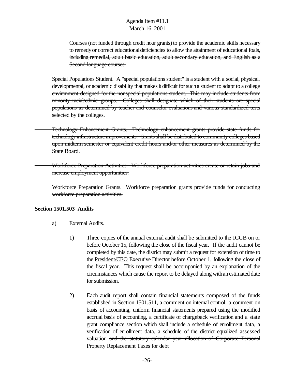Courses (not funded through credit hour grants)to provide the academic skills necessary to remedy or correct educational deficiencies to allow the attainment of educational foals, including remedial, adult basic education, adult secondary education, and English as a Second language courses.

Special Populations Student. A "special populations student" is a student with a social, physical, developmental, or academic disability that makes it difficult for such a student to adapt to a college environment designed for the nonspecial populations student. This may include students from minority racial/ethnic groups. Colleges shall designate which of their students are special populations as determined by teacher and counselor evaluations and various standardized tests selected by the colleges.

- Technology Enhancement Grants. Technology enhancement grants provide state funds for technology infrastructure improvements. Grants shall be distributed to community colleges based upon midterm semester or equivalent credit hours and/or other measures as determined by the State Board.
	- Workforce Preparation Activities. Workforce preparation activities create or retain jobs and increase employment opportunities.

Workforce Preparation Grants. Workforce preparation grants provide funds for conducting workforce preparation activities.

## **Section 1501.503 Audits**

- a) External Audits.
	- 1) Three copies of the annual external audit shall be submitted to the ICCB on or before October 15, following the close of the fiscal year. If the audit cannot be completed by this date, the district may submit a request for extension of time to the President/CEO Executive Director before October 1, following the close of the fiscal year. This request shall be accompanied by an explanation of the circumstances which cause the report to be delayed along withanestimated date for submission.
	- 2) Each audit report shall contain financial statements composed of the funds established in Section 1501.511, a comment on internal control, a comment on basis of accounting, uniform financial statements prepared using the modified accrual basis of accounting, a certificate of chargeback verification and a state grant compliance section which shall include a schedule of enrollment data, a verification of enrollment data, a schedule of the district equalized assessed valuation and the statutory calendar year allocation of Corporate Personal Property Replacement Taxes for debt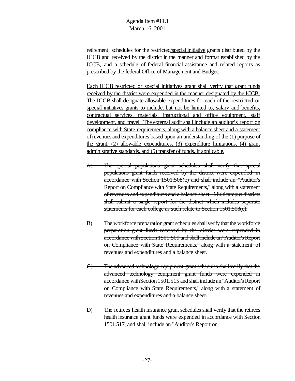retirement, schedules for the restricted/special initiative grants distributed by the ICCB and received by the district in the manner and format established by the ICCB, and a schedule of federal financial assistance and related reports as prescribed by the federal Office of Management and Budget.

Each ICCB restricted or special initiatives grant shall verify that grant funds received by the district were expended in the manner designated by the ICCB. The ICCB shall designate allowable expenditures for each of the restricted or special initiatives grants to include, but not be limited to, salary and benefits, contractual services, materials, instructional and office equipment, staff development, and travel. The external audit shall include an auditor's report on compliance with State requirements, along with a balance sheet and a statement ofrevenues and expenditures based upon an understanding of the (1) purpose of the grant, (2) allowable expenditures, (3) expenditure limitations, (4) grant administrative standards, and (5) transfer of funds, if applicable.

- A) The special populations grant schedules shall verify that special populations grant funds received by the district were expended in accordance with Section 1501.508(c) and shall include an "Auditor's Report on Compliance with State Requirements," along with a statement of revenues and expenditures and a balance sheet. Multicampus districts shall submit a single report for the district which includes separate statements for each college as such relate to Section 1501.508(e).
- B) The workforce preparation grant schedules shall verify that the workforce preparation grant funds received by the district were expended in accordance with Section 1501.509 and shall include an "Auditor's Report on Compliance with State Requirements," along with a statement of revenues and expenditures and a balance sheet.
- C) The advanced technology equipment grant schedules shall verify that the advanced technology equipment grant funds were expended in accordance with Section 1501.515 and shall include an "Auditor's Report on Compliance with State Requirements," along with a statement of revenues and expenditures and a balance sheet.
- D) The retirees health insurance grant schedules shall verify that the retirees health insurance grant funds were expended in accordance with Section 1501.517, and shall include an "Auditor's Report on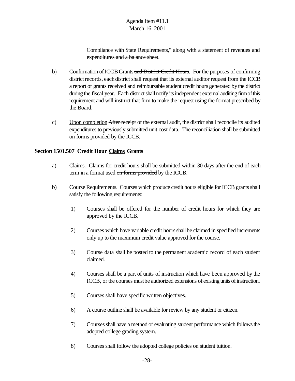Compliance with State Requirements," along with a statement of revenues and expenditures and a balance sheet.

- b) Confirmation of ICCB Grants and District Credit Hours. For the purposes of confirming district records, each district shall request that its external auditor request from the ICCB a report of grants received and reimbursable student credit hours generated by the district during the fiscal year. Each district shall notify its independent external auditing firm of this requirement and will instruct that firm to make the request using the format prescribed by the Board.
- c) Upon completion After receipt of the external audit, the district shall reconcile its audited expenditures to previously submitted unit cost data. The reconciliation shall be submitted on forms provided by the ICCB.

## **Section 1501.507 Credit Hour Claims Grants**

- a) Claims. Claims for credit hours shall be submitted within 30 days after the end of each term in a format used on forms provided by the ICCB.
- b) Course Requirements. Courses which produce credit hours eligible for ICCB grants shall satisfy the following requirements:
	- 1) Courses shall be offered for the number of credit hours for which they are approved by the ICCB.
	- 2) Courses which have variable credit hoursshall be claimed in specified increments only up to the maximum credit value approved for the course.
	- 3) Course data shall be posted to the permanent academic record of each student claimed.
	- 4) Courses shall be a part of units of instruction which have been approved by the ICCB, or the courses must be authorized extensions of existing units of instruction.
	- 5) Courses shall have specific written objectives.
	- 6) A course outline shall be available for review by any student or citizen.
	- 7) Coursesshall have a method of evaluating student performance which followsthe adopted college grading system.
	- 8) Courses shall follow the adopted college policies on student tuition.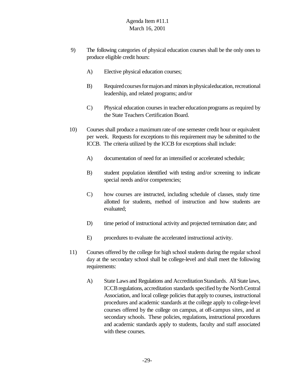- 9) The following categories of physical education courses shall be the only ones to produce eligible credit hours:
	- A) Elective physical education courses;
	- B) Required courses for majors and minors in physical education, recreational leadership, and related programs; and/or
	- C) Physical education courses in teacher education programs as required by the State Teachers Certification Board.
- 10) Courses shall produce a maximumrate of one semester credit hour or equivalent per week. Requests for exceptions to this requirement may be submitted to the ICCB. The criteria utilized by the ICCB for exceptions shall include:
	- A) documentation of need for an intensified or accelerated schedule;
	- B) student population identified with testing and/or screening to indicate special needs and/or competencies;
	- C) how courses are instructed, including schedule of classes, study time allotted for students, method of instruction and how students are evaluated;
	- D) time period of instructional activity and projected termination date; and
	- E) procedures to evaluate the accelerated instructional activity.
- 11) Courses offered by the college for high school students during the regular school day at the secondary school shall be college-level and shall meet the following requirements:
	- A) State Laws and Regulations and AccreditationStandards. All State laws, ICCB regulations, accreditation standards specified by the North Central Association, and local college policies that apply to courses, instructional procedures and academic standards at the college apply to college-level courses offered by the college on campus, at off-campus sites, and at secondary schools. These policies, regulations, instructional procedures and academic standards apply to students, faculty and staff associated with these courses.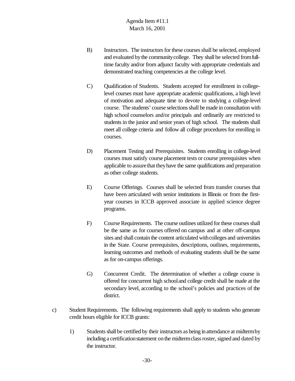- B) Instructors. The instructors for these courses shall be selected, employed and evaluated by the community college. They shall be selected from fulltime faculty and/or from adjunct faculty with appropriate credentials and demonstrated teaching competencies at the college level.
- C) Qualification of Students. Students accepted for enrollment in collegelevel courses must have appropriate academic qualifications, a high level of motivation and adequate time to devote to studying a college-level course. The students' course selections shall be made in consultation with high school counselors and/or principals and ordinarily are restricted to students in the junior and senior years of high school. The students shall meet all college criteria and follow all college procedures for enrolling in courses.
- D) Placement Testing and Prerequisites. Students enrolling in college-level courses must satisfy course placement tests or course prerequisites when applicable to assure that they have the same qualifications and preparation as other college students.
- E) Course Offerings. Courses shall be selected from transfer courses that have been articulated with senior institutions in Illinois or from the firstyear courses in ICCB approved associate in applied science degree programs.
- F) Course Requirements. The course outlines utilized for these courses shall be the same as for courses offered on campus and at other off-campus sites and shall contain the content articulated with colleges and universities in the State. Course prerequisites, descriptions, outlines, requirements, learning outcomes and methods of evaluating students shall be the same as for on-campus offerings.
- G) Concurrent Credit. The determination of whether a college course is offered for concurrent high schooland college credit shall be made at the secondary level, according to the school's policies and practices of the district.
- c) Student Requirements. The following requirements shall apply to students who generate credit hours eligible for ICCB grants:
	- 1) Students shall be certified by their instructors as being in attendance at midterm by including a certification statement on the midterm class roster, signed and dated by the instructor.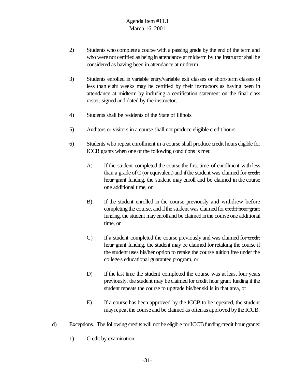- 2) Students who complete a course with a passing grade by the end of the term and who were not certified as being in attendance at midterm by the instructor shall be considered as having been in attendance at midterm.
- 3) Students enrolled in variable entry/variable exit classes or short-term classes of less than eight weeks may be certified by their instructors as having been in attendance at midterm by including a certification statement on the final class roster, signed and dated by the instructor.
- 4) Students shall be residents of the State of Illinois.
- 5) Auditors or visitors in a course shall not produce eligible credit hours.
- 6) Students who repeat enrollment in a course shall produce credit hours eligible for ICCB grants when one of the following conditions is met:
	- A) If the student completed the course the first time of enrollment with less than a grade of  $C$  (or equivalent) and if the student was claimed for credit hour grant funding, the student may enroll and be claimed in the course one additional time, or
	- B) If the student enrolled in the course previously and withdrew before completing the course, and if the student was claimed for credit hour grant funding, the student mayenrolland be claimed inthe course one additional time, or
	- C) If a student completed the course previously and was claimed for credit hour grant funding, the student may be claimed for retaking the course if the student uses his/her option to retake the course tuition free under the college's educational guarantee program, or
	- D) If the last time the student completed the course was at least four years previously, the student may be claimed for credit hour grant funding if the student repeats the course to upgrade his/her skills in that area, or
	- E) If a course has been approved by the ICCB to be repeated, the student may repeat the course and be claimed as often as approved by the ICCB.
- $d)$  Exceptions. The following credits will not be eligible for ICCB funding credit hour grants:
	- 1) Credit by examination;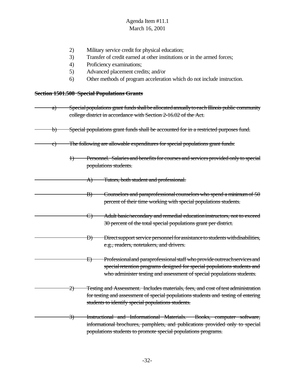- 2) Military service credit for physical education;
- 3) Transfer of credit earned at other institutions or in the armed forces;
- 4) Proficiency examinations;
- 5) Advanced placement credits; and/or
- 6) Other methods of program acceleration which do not include instruction.

# **Section 1501.508 Special Populations Grants**

| a) | Special populations grant funds shall be allocated annually to each Illinois public community<br>college district in accordance with Section 2-16.02 of the Act. |                                                                                                                                                                                                                                 |  |  |  |  |
|----|------------------------------------------------------------------------------------------------------------------------------------------------------------------|---------------------------------------------------------------------------------------------------------------------------------------------------------------------------------------------------------------------------------|--|--|--|--|
| b) | Special populations grant funds shall be accounted for in a restricted purposes fund.                                                                            |                                                                                                                                                                                                                                 |  |  |  |  |
| C) |                                                                                                                                                                  | The following are allowable expenditures for special populations grant funds:                                                                                                                                                   |  |  |  |  |
|    | $\ddagger$                                                                                                                                                       | Personnel. Salaries and benefits for courses and services provided only to special<br>populations students.                                                                                                                     |  |  |  |  |
|    | A)                                                                                                                                                               | Tutors, both student and professional.                                                                                                                                                                                          |  |  |  |  |
|    | $\ket{B}$                                                                                                                                                        | Counselors and paraprofessional counselors who spend a minimum of 50<br>percent of their time working with special populations students.                                                                                        |  |  |  |  |
|    | $\leftrightarrow$                                                                                                                                                | Adult basic/secondary and remedial education instructors, not to exceed<br>30 percent of the total special populations grant per district.                                                                                      |  |  |  |  |
|    | Ð)                                                                                                                                                               | Direct support service personnel for assistance to students with disabilities,<br>e.g., readers, notetakers, and drivers.                                                                                                       |  |  |  |  |
|    | Ð)                                                                                                                                                               | Professional and paraprofessional staff who provide outreach services and<br>special retention programs designed for special populations students and<br>who administer testing and assessment of special populations students. |  |  |  |  |
|    | <del>2)</del>                                                                                                                                                    | Testing and Assessment. Includes materials, fees, and cost of test administration<br>for testing and assessment of special populations students and testing of entering<br>students to identify special populations students.   |  |  |  |  |
|    | 3)                                                                                                                                                               | Instructional and Informational Materials. Books, computer software,<br>informational brochures, pamphlets, and publications provided only to special<br>populations students to promote special populations programs.          |  |  |  |  |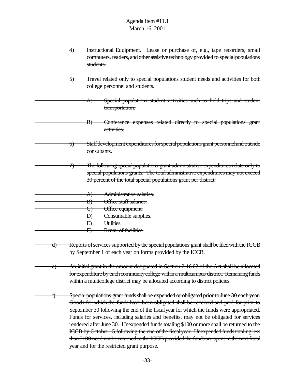|    | Instructional Equipment. Lease or purchase of, e.g., tape recorders, small<br><del>4)</del><br>computers, readers, and other assistive technology provided to special populations<br>students. |                                                                                                                                                                                                                                                                                                                                                                                                                                                                                                                                                                                                                                                                                                               |
|----|------------------------------------------------------------------------------------------------------------------------------------------------------------------------------------------------|---------------------------------------------------------------------------------------------------------------------------------------------------------------------------------------------------------------------------------------------------------------------------------------------------------------------------------------------------------------------------------------------------------------------------------------------------------------------------------------------------------------------------------------------------------------------------------------------------------------------------------------------------------------------------------------------------------------|
|    | C,                                                                                                                                                                                             | Travel related only to special populations student needs and activities for both<br>college personnel and students.                                                                                                                                                                                                                                                                                                                                                                                                                                                                                                                                                                                           |
|    |                                                                                                                                                                                                | Special populations student activities such as field trips and student<br>A)<br>transportation.                                                                                                                                                                                                                                                                                                                                                                                                                                                                                                                                                                                                               |
|    |                                                                                                                                                                                                | Conference expenses related directly to special populations grant<br>$\ket{B}$<br>activities.                                                                                                                                                                                                                                                                                                                                                                                                                                                                                                                                                                                                                 |
|    | $\Theta$                                                                                                                                                                                       | Staff development expenditures for special populations grant personnel and outside<br>consultants.                                                                                                                                                                                                                                                                                                                                                                                                                                                                                                                                                                                                            |
|    | 7)                                                                                                                                                                                             | The following special populations grant administrative expenditures relate only to<br>special populations grants. The total administrative expenditures may not exceed<br>30 percent of the total special populations grant per district.                                                                                                                                                                                                                                                                                                                                                                                                                                                                     |
|    |                                                                                                                                                                                                | Administrative salaries.<br>A)                                                                                                                                                                                                                                                                                                                                                                                                                                                                                                                                                                                                                                                                                |
|    |                                                                                                                                                                                                | Office staff salaries.<br>$\vert B\rangle$                                                                                                                                                                                                                                                                                                                                                                                                                                                                                                                                                                                                                                                                    |
|    |                                                                                                                                                                                                | Office equipment.                                                                                                                                                                                                                                                                                                                                                                                                                                                                                                                                                                                                                                                                                             |
|    |                                                                                                                                                                                                | Consumable supplies.<br>Đ)                                                                                                                                                                                                                                                                                                                                                                                                                                                                                                                                                                                                                                                                                    |
|    |                                                                                                                                                                                                | Utilities.<br>Ð)                                                                                                                                                                                                                                                                                                                                                                                                                                                                                                                                                                                                                                                                                              |
|    |                                                                                                                                                                                                | Rental of facilities.<br><del>F)</del>                                                                                                                                                                                                                                                                                                                                                                                                                                                                                                                                                                                                                                                                        |
| d) |                                                                                                                                                                                                | Reports of services supported by the special populations grant shall be filed with the ICCB<br>by September 1 of each year on forms provided by the ICCB.                                                                                                                                                                                                                                                                                                                                                                                                                                                                                                                                                     |
| e) |                                                                                                                                                                                                | An initial grant in the amount designated in Section 2-16.02 of the Act shall be allocated<br>for expenditure by each community college within a multicampus district. Remaining funds<br>within a multicollege district may be allocated according to district policies.                                                                                                                                                                                                                                                                                                                                                                                                                                     |
| t) |                                                                                                                                                                                                | Special populations grant funds shall be expended or obligated prior to June 30 each year.<br>Goods for which the funds have been obligated shall be received and paid for prior to<br>September 30 following the end of the fiscal year for which the funds were appropriated.<br>Funds for services, including salaries and benefits, may not be obligated for services<br>rendered after June 30. Unexpended funds totaling \$100 or more shall be returned to the<br>ICCB by October 15 following the end of the fiscal year. Unexpended funds totaling less<br>than \$100 need not be returned to the ICCB provided the funds are spent in the next fiscal<br>year and for the restricted grant purpose. |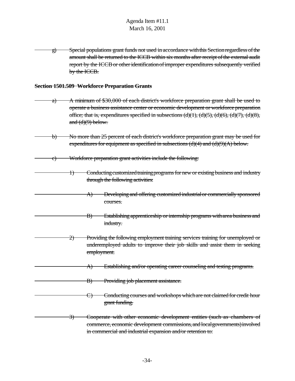g) Special populations grant funds not used in accordance withthis Sectionregardless ofthe amount shall be returned to the ICCB within six months after receipt ofthe external audit report by the ICCB or other identification of improper expenditures subsequently verified by the ICCB.

#### **Section 1501.509 Workforce Preparation Grants**

- a) A minimum of \$30,000 of each district's workforce preparation grant shall be used to operate a business assistance center or economic development or workforce preparation office; that is, expenditures specified in subsections  $(d)(1)$ ,  $(d)(5)$ ,  $(d)(6)$ ,  $(d)(7)$ ,  $(d)(8)$ , and  $(d)(9)$  below.
- b) No more than 25 percent of each district's workforce preparation grant may be used for expenditures for equipment as specified in subsections  $(d)(4)$  and  $(d)(9)(A)$  below.
- c) Workforce preparation grant activities include the following:
	- 1) Conducting customized training programs for new or existing business and industry through the following activities:
		- A) Developing and offering customized industrialor commercially sponsored courses.
	- B) Establishing apprenticeship or internship programs with area business and industry.
- 2) Providing the following employment training services training for unemployed or underemployed adults to improve their job skills and assist them in seeking employment.
	- A) Establishing and/or operating career counseling and testing programs.
	- B) Providing job placement assistance.
	- C) Conducting courses and workshops which are not claimed for credit hour grant funding.
	- 3) Cooperate with other economic development entities (such as chambers of commerce, economic development commissions, and local governments) involved in commercial and industrial expansion and/or retention to: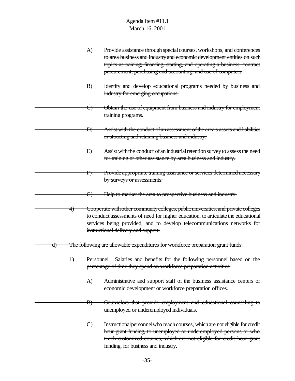|               | A)            | Provide assistance through special courses, workshops, and conferences<br>to area business and industry and economic development entities on such                                                                                                                                          |
|---------------|---------------|--------------------------------------------------------------------------------------------------------------------------------------------------------------------------------------------------------------------------------------------------------------------------------------------|
|               |               | topics as training; financing, starting, and operating a business; contract<br>procurement; purchasing and accounting; and use of computers.                                                                                                                                               |
|               | $\ket{B}$     | Identify and develop educational programs needed by business and<br>industry for emerging occupations.                                                                                                                                                                                     |
|               | <del>C)</del> | Obtain the use of equipment from business and industry for employment<br>training programs.                                                                                                                                                                                                |
|               | Ð)            | Assist with the conduct of an assessment of the area's assets and liabilities<br>in attracting and retaining business and industry.                                                                                                                                                        |
|               | <del>E)</del> | Assist with the conduct of an industrial retention survey to assess the need<br>for training or other assistance by area business and industry.                                                                                                                                            |
|               | <del>F)</del> | Provide appropriate training assistance or services determined necessary<br>by surveys or assessments.                                                                                                                                                                                     |
|               | <del>G)</del> | Help to market the area to prospective business and industry.                                                                                                                                                                                                                              |
| <del>4)</del> |               | Cooperate with other community colleges, public universities, and private colleges<br>to conduct assessments of need for higher education, to articulate the educational<br>services being provided, and to develop telecommunications networks for<br>instructional delivery and support. |
| <del>d)</del> |               | The following are allowable expenditures for workforce preparation grant funds:                                                                                                                                                                                                            |
| Ð             |               | Personnel. Salaries and benefits for the following personnel based on the<br>percentage of time they spend on workforce preparation activities.                                                                                                                                            |
|               | A)            | Administrative and support staff of the business assistance centers or<br>economic development or workforce preparation offices.                                                                                                                                                           |
|               | $\ket{B}$     | Counselors that provide employment and educational counseling to<br>unemployed or underemployed individuals.                                                                                                                                                                               |
|               | <del>C)</del> | Instructional personnel who teach courses, which are not eligible for credit<br>hour grant funding, to unemployed or underemployed persons or who<br>teach customized courses, which are not eligible for credit hour grant<br>funding, for business and industry.                         |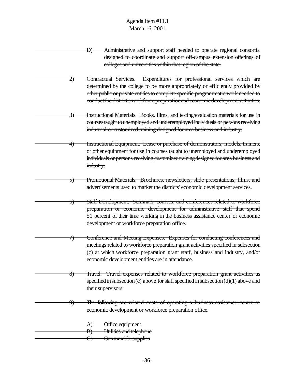- D) Administrative and support staff needed to operate regional consortia designed to coordinate and support off-campus extension offerings of colleges and universities within that region of the state.
	- 2) Contractual Services. Expenditures for professional services which are determined by the college to be more appropriately or efficiently provided by other public or private entitiesto complete specific programmatic work needed to conduct the district's workforce preparationand economic development activities.
- 3) Instructional Materials. Books, films, and testing/evaluation materials for use in courses taught to unemployed and underemployed individuals or persons receiving industrial or customized training designed for area business and industry.
- 4) Instructional Equipment. Lease or purchase of demonstrators, models, trainers, or other equipment for use in courses taught to unemployed and underemployed individuals or persons receiving customized training designed for area business and industry.
	- 5) Promotional Materials. Brochures, newsletters, slide presentations, films, and advertisements used to market the districts' economic development services.
	- 6) Staff Development. Seminars, courses, and conferences related to workforce preparation or economic development for administrative staff that spend 51 percent of their time working in the business assistance center or economic development or workforce preparation office.
- 7) Conference and Meeting Expenses. Expenses for conducting conferences and meetings related to workforce preparation grant activities specified in subsection (c) at which workforce preparation grant staff, business and industry, and/or economic development entities are in attendance.
	- 8) Travel. Travel expenses related to workforce preparation grant activities as specified in subsection (c) above for staff specified in subsection  $(d)(1)$  above and their supervisors.
- 9) The following are related costs of operating a business assistance center or economic development or workforce preparation office.
- A) Office equipment B) Utilities and telephone C) Consumable supplies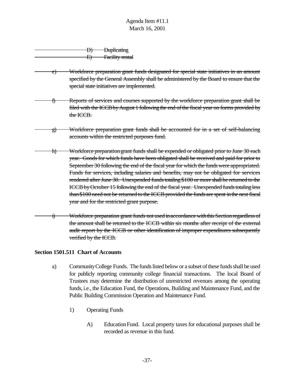|  | <b>Duplicating</b> |
|--|--------------------|
|  | Facility rental    |
|  |                    |

- e) Workforce preparation grant funds designated for special state initiatives in an amount specified by the General Assembly shall be administered by the Board to ensure that the special state initiatives are implemented.
- f) Reports of services and courses supported by the workforce preparation grant shall be filed with the ICCBbyAugust 1 following the end ofthe fiscal year on forms provided by the ICCB.
- g) Workforce preparation grant funds shall be accounted for in a set of self-balancing accounts within the restricted purposes fund.
- h) Workforce preparation grant funds shall be expended or obligated prior to June 30 each year. Goods for which funds have been obligated shall be received and paid for prior to September 30 following the end of the fiscal year for which the funds were appropriated. Funds for services, including salaries and benefits, may not be obligated for services rendered after June 30. Unexpended funds totaling \$100 or more shall be returned to the ICCB by October 15 following the end of the fiscal year. Unexpended funds totaling less  $than $100$  need not be returned to the ICCB provided the funds are spent in the next fiscal year and for the restricted grant purpose.
- i) Workforce preparation grant funds not used in accordance with this Section regardless of the amount shall be returned to the ICCB within six months after receipt of the external audit report by the ICCB or other identification of improper expenditures subsequently verified by the ICCB.

#### **Section 1501.511 Chart of Accounts**

- a) CommunityCollege Funds. The funds listed below or a subset of these funds shall be used for publicly reporting community college financial transactions. The local Board of Trustees may determine the distribution of unrestricted revenues among the operating funds, i.e., the Education Fund, the Operations, Building and Maintenance Fund, and the Public Building Commission Operation and Maintenance Fund.
	- 1) Operating Funds
		- A) EducationFund. Local property taxes for educational purposes shall be recorded as revenue in this fund.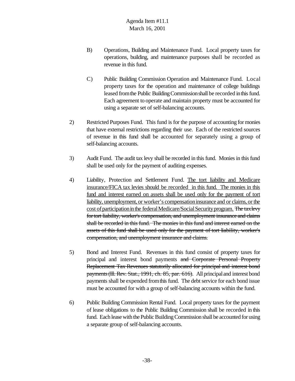- B) Operations, Building and Maintenance Fund. Local property taxes for operations, building, and maintenance purposes shall be recorded as revenue in this fund.
- C) Public Building Commission Operation and Maintenance Fund. Local property taxes for the operation and maintenance of college buildings leased from the Public Building Commission shall be recorded in this fund. Each agreement to operate and maintain property must be accounted for using a separate set of self-balancing accounts.
- 2) Restricted Purposes Fund. This fund is for the purpose of accounting formonies that have external restrictions regarding their use. Each of the restricted sources of revenue in this fund shall be accounted for separately using a group of self-balancing accounts.
- 3) Audit Fund. The audit tax levy shall be recorded in this fund. Monies in this fund shall be used only for the payment of auditing expenses.
- 4) Liability, Protection and Settlement Fund. The tort liability and Medicare insurance/FICA tax levies should be recorded in this fund. The monies in this fund and interest earned on assets shall be used only for the payment of tort liability, unemployment, or worker's compensation insurance and or claims, or the cost of participation in the federal Medicare/Social Security program. The taxlevy fortort liability, worker's compensation, and unemployment insurance and claims shall be recorded in this fund. The monies in this fund and interest earned on the assets of this fund shall be used only for the payment of tort liability, worker's compensation, and unemployment insurance and claims.
- 5) Bond and Interest Fund. Revenues in this fund consist of property taxes for principal and interest bond payments and Corporate Personal Property Replacement Tax Revenues statutorily allocated for principal and interest bond payments(Ill. Rev. Stat., 1991, ch. 85, par. 616). All principaland interest bond payments shall be expended from this fund. The debt service for each bond issue must be accounted for with a group of self-balancing accounts within the fund.
- 6) Public Building Commission Rental Fund. Local property taxes for the payment of lease obligations to the Public Building Commission shall be recorded in this fund. Each lease with the Public Building Commission shall be accounted for using a separate group of self-balancing accounts.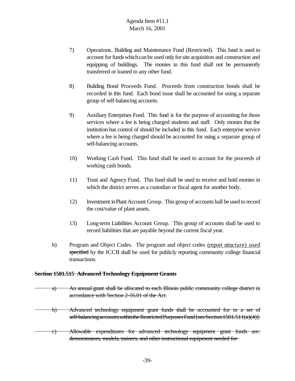- 7) Operations, Building and Maintenance Fund (Restricted). This fund is used to account for funds which can be used only for site acquisition and construction and equipping of buildings. The monies in this fund shall not be permanently transferred or loaned to any other fund.
- 8) Building Bond Proceeds Fund. Proceeds from construction bonds shall be recorded in this fund. Each bond issue shall be accounted for using a separate group of self-balancing accounts.
- 9) Auxiliary Enterprises Fund. This fund is for the purpose of accounting for those services where a fee is being charged students and staff. Only monies that the institution has control of should be included in this fund. Each enterprise service where a fee is being charged should be accounted for using a separate group of self-balancing accounts.
- 10) Working Cash Fund. This fund shall be used to account for the proceeds of working cash bonds.
- 11) Trust and Agency Fund. This fund shall be used to receive and hold monies in which the district serves as a custodian or fiscal agent for another body.
- 12) Investment inPlantAccount Group. This group of accounts hall be used to record the cost/value of plant assets.
- 13) Long-term Liabilities Account Group. This group of accounts shall be used to record liabilities that are payable beyond the current fiscal year.
- b) Program and Object Codes. The program and object codes (report structure) used specified by the ICCB shall be used for publicly reporting community college financial transactions.

#### **Section 1501.515 Advanced Technology Equipment Grants**

- a) An annual grant shall be allocated to each Illinois public community college district in accordance with Section 2-16.01 of the Act.
- b) Advanced technology equipment grant funds shall be accounted for in a set of self-balancing accounts within the Restricted Purposes Fund [see Section 1501.511(a)(4)].
- c) Allowable expenditures for advanced technology equipment grant funds are: demonstrators, models, trainers, and other instructional equipment needed for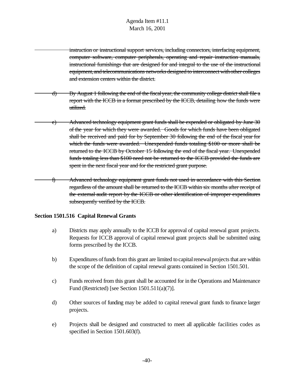instruction or instructional support services, including connectors, interfacing equipment, computer software, computer peripherals, operating and repair instruction manuals, instructional furnishings that are designed for and integral to the use of the instructional equipment, and telecommunications networks designed to interconnect with other colleges and extension centers within the district.

d) By August 1 following the end of the fiscalyear, the community college district shall file a report with the ICCB in a format prescribed by the ICCB, detailing how the funds were utilized.

e) Advanced technology equipment grant funds shall be expended or obligated by June 30 of the year for which they were awarded. Goods for which funds have been obligated shall be received and paid for by September 30 following the end of the fiscal year for which the funds were awarded. Unexpended funds totaling \$100 or more shall be returned to the ICCB by October 15 following the end of the fiscal year. Unexpended funds totaling less than \$100 need not be returned to the ICCB provided the funds are spent in the next fiscal year and for the restricted grant purpose.

f) Advanced technology equipment grant funds not used in accordance with this Section regardless of the amount shall be returned to the ICCB within six months after receipt of the external audit report by the ICCB or other identification of improper expenditures subsequently verified by the ICCB.

#### **Section 1501.516 Capital Renewal Grants**

- a) Districts may apply annually to the ICCB for approval of capital renewal grant projects. Requests for ICCB approval of capital renewal grant projects shall be submitted using forms prescribed by the ICCB.
- b) Expenditures of funds from this grant are limited to capital renewal projects that are within the scope of the definition of capital renewal grants contained in Section 1501.501.
- c) Funds received from this grant shall be accounted for in the Operations and Maintenance Fund (Restricted) [see Section 1501.511(a)(7)].
- d) Other sources of funding may be added to capital renewal grant funds to finance larger projects.
- e) Projects shall be designed and constructed to meet all applicable facilities codes as specified in Section 1501.603(f).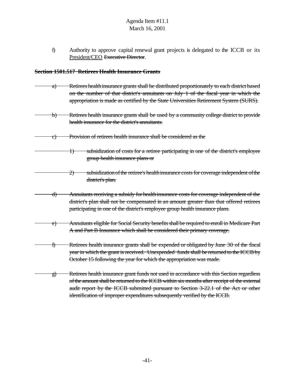f) Authority to approve capital renewal grant projects is delegated to the ICCB or its President/CEO Executive Director.

#### **Section 1501.517 Retirees Health Insurance Grants**

- a) Retirees healthin surance grants shall be distributed proportionately to each district based on the number of that district's annuitants on July 1 of the fiscal year in which the appropriation is made as certified by the State Universities Retirement System (SURS).
- b) Retirees health insurance grants shall be used by a community college district to provide health insurance for the district's annuitants.
- c) Provision of retirees health insurance shall be considered as the
	- 1) subsidization of costs for a retiree participating in one of the district's employee group health insurance plans or
		- 2) subsidization of the retiree's healthin surance costs for coverage independent of the district's plan.
	- d) Annuitants receiving a subsidy for healthinsurance costs for coverage independent of the district's plan shall not be compensated in an amount greater than that offered retirees participating in one of the district's employee group health insurance plans.
- e) Annuitants eligible for Social Security benefitsshall be required to enroll in Medicare Part A and Part B Insurance which shall be considered their primary coverage.
- f) Retirees health insurance grants shall be expended or obligated by June 30 of the fiscal year in which the grant is received. Unexpended funds shall be returned to the ICCB by October 15 following the year for which the appropriation was made.
	- g) Retirees health insurance grant funds not used in accordance with this Section regardless ofthe amount shall be returned to the ICCB within six months after receipt of the external audit report by the ICCB submitted pursuant to Section 3-22.1 of the Act or other identification of improper expenditures subsequently verified by the ICCB.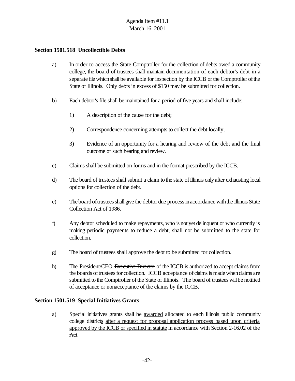#### **Section 1501.518 Uncollectible Debts**

- a) In order to access the State Comptroller for the collection of debts owed a community college, the board of trustees shall maintain documentation of each debtor's debt in a separate file which shall be available for inspection by the ICCB or the Comptroller of the State of Illinois. Only debts in excess of \$150 may be submitted for collection.
- b) Each debtor's file shall be maintained for a period of five years and shall include:
	- 1) A description of the cause for the debt;
	- 2) Correspondence concerning attempts to collect the debt locally;
	- 3) Evidence of an opportunity for a hearing and review of the debt and the final outcome of such hearing and review.
- c) Claims shall be submitted on forms and in the format prescribed by the ICCB.
- d) The board of trustees shall submit a claim to the state of Illinois only after exhausting local options for collection of the debt.
- e) The boardoftrusteesshall give the debtor due processinaccordance withthe Illinois State Collection Act of 1986.
- f) Any debtor scheduled to make repayments, who is not yet delinquent or who currently is making periodic payments to reduce a debt, shall not be submitted to the state for collection.
- g) The board of trustees shall approve the debt to be submitted for collection.
- h) The President/CEO Executive Director of the ICCB is authorized to accept claims from the boards of trustees for collection. ICCB acceptance of claims is made when claims are submitted to the Comptroller of the State of Illinois. The board of trustees will be notified of acceptance or nonacceptance of the claims by the ICCB.

#### **Section 1501.519 Special Initiatives Grants**

a) Special initiatives grants shall be awarded allocated to each Illinois public community college districts after a request for proposal application process based upon criteria approved by the ICCB or specified in statute in accordance with Section 2-16.02 of the Act.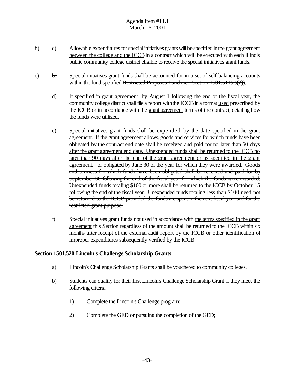- $\underline{b}$  c) Allowable expenditures for special initiatives grants will be specified in the grant agreement between the college and the ICCB in a contract which will be executed with each Illinois public community college district eligible to receive the special initiatives grant funds.
- $\frac{c}{b}$  b) Special initiatives grant funds shall be accounted for in a set of self-balancing accounts within the fund specified Restricted Purposes Fund (see Section  $1501.511(a)(2)$ ).
	- d) If specified in grant agreement, by August 1 following the end of the fiscal year, the community college district shall file a report with the ICCB in a format used prescribed by the ICCB or in accordance with the grant agreement terms of the contract, detailing how the funds were utilized.
	- e) Special initiatives grant funds shall be expended by the date specified in the grant agreement. If the grant agreement allows, goods and services for which funds have been obligated by the contract end date shall be received and paid for no later than 60 days after the grant agreement end date. Unexpended funds shall be returned to the ICCB no later than 90 days after the end of the grant agreement or as specified in the grant agreement. or obligated by June 30 of the year for which they were awarded. Goods and services for which funds have been obligated shall be received and paid for by September 30 following the end of the fiscal year for which the funds were awarded. Unexpended funds totaling \$100 or more shall be returned to the ICCB by October 15 following the end of the fiscal year. Unexpended funds totaling less than \$100 need not be returned to the ICCB provided the funds are spent in the next fiscal year and for the restricted grant purpose.
	- f) Special initiatives grant funds not used in accordance with the terms specified in the grant agreement this Section regardless of the amount shall be returned to the ICCB within six months after receipt of the external audit report by the ICCB or other identification of improper expenditures subsequently verified by the ICCB.

#### **Section 1501.520 Lincoln's Challenge Scholarship Grants**

- a) Lincoln's Challenge Scholarship Grants shall be vouchered to community colleges.
- b) Students can qualify for their first Lincoln's Challenge Scholarship Grant if they meet the following criteria:
	- 1) Complete the Lincoln's Challenge program;
	- 2) Complete the GED or pursuing the completion of the GED;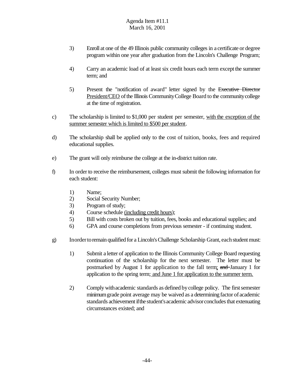- 3) Enroll at one of the 49 Illinois public community colleges in a certificate or degree program within one year after graduation from the Lincoln's Challenge Program;
- 4) Carry an academic load of at least six credit hours each term except the summer term; and
- 5) Present the "notification of award" letter signed by the Executive Director President/CEO of the Illinois Community College Board to the community college at the time of registration.
- c) The scholarship is limited to \$1,000 per student per semester, with the exception of the summer semester which is limited to \$500 per student.
- d) The scholarship shall be applied only to the cost of tuition, books, fees and required educational supplies.
- e) The grant will only reimburse the college at the in-district tuition rate.
- f) In order to receive the reimbursement, colleges must submit the following information for each student:
	- 1) Name;
	- 2) Social Security Number;
	- 3) Program of study;
	- 4) Course schedule (including credit hours);
	- 5) Bill with costs broken out by tuition, fees, books and educational supplies; and
	- 6) GPA and course completions from previous semester if continuing student.
- g) Inorder to remain qualified for a Lincoln's Challenge Scholarship Grant, each student must:
	- 1) Submit a letter of application to the Illinois Community College Board requesting continuation of the scholarship for the next semester. The letter must be postmarked by August 1 for application to the fall term; and January 1 for application to the spring term; and June 1 for application to the summer term.
	- 2) Comply with academic standards as defined by college policy. The first semester minimumgrade point average may be waived as a determining factor of academic standards achievement if the student's academic advisor concludes that extenuating circumstances existed; and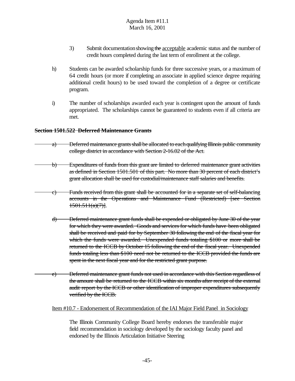- 3) Submit documentation showing the acceptable academic status and the number of credit hours completed during the last term of enrollment at the college.
- h) Students can be awarded scholarship funds for three successive years, or a maximum of 64 credit hours (or more if completing an associate in applied science degree requiring additional credit hours) to be used toward the completion of a degree or certificate program.
- i) The number of scholarships awarded each year is contingent upon the amount of funds appropriated. The scholarships cannot be guaranteed to students even if all criteria are met.

#### **Section 1501.522 Deferred Maintenance Grants**

- a) Deferred maintenance grants shall be allocated to each qualifying Illinois public community college district in accordance with Section 2-16.02 of the Act.
- b) Expenditures of funds from this grant are limited to deferred maintenance grant activities as defined in Section 1501.501 of this part. No more than 30 percent of each district's grant allocation shall be used for custodial/maintenance staff salaries and benefits.
	- c) Funds received from this grant shall be accounted for in a separate set of self-balancing accounts in the Operations and Maintenance Fund (Restricted) [see Section  $1501.511(a)(7)$ ].
		- d) Deferred maintenance grant funds shall be expended or obligated by June 30 of the year for which they were awarded. Goods and services for which funds have been obligated shall be received and paid for by September 30 following the end of the fiscal year for which the funds were awarded. Unexpended funds totaling \$100 or more shall be returned to the ICCB by October 15 following the end of the fiscal year. Unexpended funds totaling less than \$100 need not be returned to the ICCB provided the funds are spent in the next fiscal year and for the restricted grant purpose.
		- e) Deferred maintenance grant funds not used in accordance with this Section regardless of the amount shall be returned to the ICCB within six months after receipt of the external audit report by the ICCB or other identification of improper expenditures subsequently verified by the ICCB.

#### Item #10.7 - Endorsement of Recommendation of the IAI Major Field Panel in Sociology

The Illinois Community College Board hereby endorses the transferable major field recommendation in sociology developed by the sociology faculty panel and endorsed by the Illinois Articulation Initiative Steering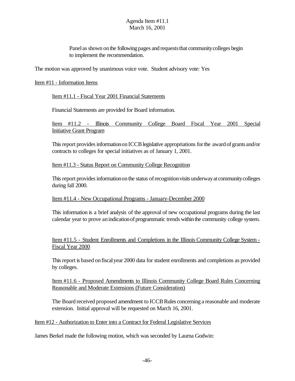Panel as shown on the following pages and requests that community colleges begin to implement the recommendation.

The motion was approved by unanimous voice vote. Student advisory vote: Yes

#### Item #11 - Information Items

Item #11.1 - Fiscal Year 2001 Financial Statements

Financial Statements are provided for Board information.

Item #11.2 - Illinois Community College Board Fiscal Year 2001 Special Initiative Grant Program

This report provides information on ICCB legislative appropriations for the award of grants and/or contracts to colleges for special initiatives as of January 1, 2001.

#### Item #11.3 - Status Report on Community College Recognition

This report provides information on the status of recognition visits underway at community colleges during fall 2000.

#### Item #11.4 - New Occupational Programs - January-December 2000

This information is a brief analysis of the approval of new occupational programs during the last calendar year to prove an indication of programmatic trends within the community college system.

Item #11.5 - Student Enrollments and Completions in the Illinois Community College System - Fiscal Year 2000

This report is based on fiscal year 2000 data for student enrollments and completions as provided by colleges.

Item #11.6 - Proposed Amendments to Illinois Community College Board Rules Concerning Reasonable and Moderate Extensions (Future Consideration)

The Board received proposed amendment to ICCB Rules concerning a reasonable and moderate extension. Initial approval will be requested on March 16, 2001.

#### Item #12 - Authorization to Enter into a Contract for Federal Legislative Services

James Berkel made the following motion, which was seconded by Laurna Godwin: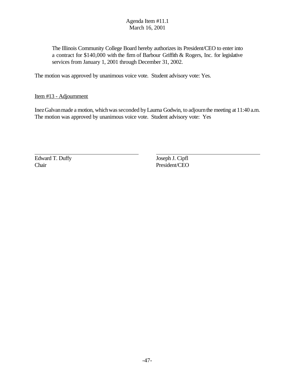The Illinois Community College Board hereby authorizes its President/CEO to enter into a contract for \$140,000 with the firm of Barbour Griffith & Rogers, Inc. for legislative services from January 1, 2001 through December 31, 2002.

The motion was approved by unanimous voice vote. Student advisory vote: Yes.

Item #13 - Adjournment

Inez Galvan made a motion, which was seconded by Laurna Godwin, to adjourn the meeting at 11:40 a.m. The motion was approved by unanimous voice vote. Student advisory vote: Yes

Edward T. Duffy Joseph J. Cipfl Chair President/CEO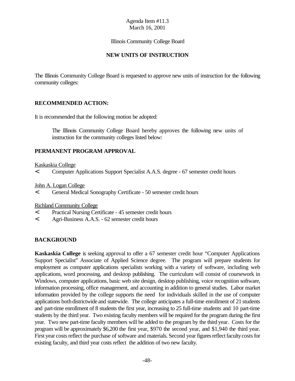#### Illinois Community College Board

#### **NEW UNITS OF INSTRUCTION**

The Illinois Community College Board is requested to approve new units of instruction for the following community colleges:

#### **RECOMMENDED ACTION:**

It is recommended that the following motion be adopted:

The Illinois Community College Board hereby approves the following new units of instruction for the community colleges listed below:

#### **PERMANENT PROGRAM APPROVAL**

Kaskaskia College

< Computer Applications Support Specialist A.A.S. degree - 67 semester credit hours

John A. Logan College

< General Medical Sonography Certificate - 50 semester credit hours

Richland Community College

- < Practical Nursing Certificate 45 semester credit hours
- < Agri-Business A.A.S. 62 semester credit hours

#### **BACKGROUND**

**Kaskaskia College** is seeking approval to offer a 67 semester credit hour "Computer Applications Support Specialist" Associate of Applied Science degree. The program will prepare students for employment as computer applications specialists working with a variety of software, including web applications, word processing, and desktop publishing. The curriculum will consist of coursework in Windows, computer applications, basic web site design, desktop publishing, voice recognition software, information processing, office management, and accounting in addition to general studies. Labor market information provided by the college supports the need for individuals skilled in the use of computer applications both districtwide and statewide. The college anticipates a full-time enrollment of 21 students and part-time enrollment of 8 students the first year, increasing to 25 full-time students and 10 part-time students by the third year. Two existing faculty members will be required for the program during the first year. Two new part-time faculty members will be added to the program by the third year. Costs for the program will be approximately \$6,200 the first year, \$970 the second year, and \$1,940 the third year. First year costs reflect the purchase of software and materials. Second year figures reflect faculty costs for existing faculty, and third year costs reflect the addition of two new faculty.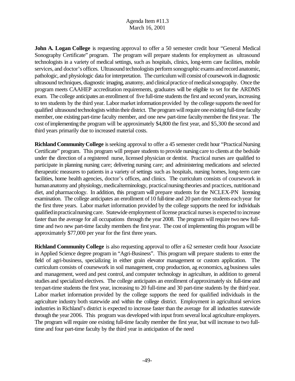**John A. Logan College** is requesting approval to offer a 50 semester credit hour "General Medical Sonography Certificate" program. The program will prepare students for employment as ultrasound technologists in a variety of medical settings, such as hospitals, clinics, long-term care facilities, mobile services, and doctor's offices. Ultrasound technologists perform sonographic exams and record anatomic, pathologic, and physiologic data forinterpretation. The curriculum will consist of coursework in diagnostic ultrasound techniques, diagnostic imaging, anatomy, and clinical practice of medical sonography. Once the program meets CAAHEP accreditation requirements, graduates will be eligible to set for the ARDMS exam. The college anticipates an enrollment of five full-time students the first and second years, increasing to ten students by the third year. Labor market information provided by the college supports the need for qualified ultrasound technologists within their district. The program will require one existing full-time faculty member, one existing part-time faculty member, and one new part-time faculty member the first year. The cost ofimplementing the program will be approximately \$4,800 the first year, and \$5,300 the second and third years primarily due to increased material costs.

**Richland Community College** is seeking approval to offer a 45 semester credit hour "Practical Nursing" Certificate" program. This program will prepare students to provide nursing care to clients at the bedside under the direction of a registered nurse, licensed physician or dentist. Practical nurses are qualified to participate in planning nursing care; delivering nursing care; and administering medications and selected therapeutic measures to patients in a variety of settings such as hospitals, nursing homes, long-term care facilities, home health agencies, doctor's offices, and clinics. The curriculum consists of coursework in human anatomy and physiology, medical terminology, practical nursing theories and practices, nutrition and diet, and pharmacology. In addition, this program will prepare students for the NCLEX-PN licensing examination. The college anticipates an enrollment of 10 full-time and 20 part-time students each year for the first three years. Labor market information provided by the college supports the need for individuals qualifiedinpracticalnursing care. Statewide employment of license practical nurses is expected to increase faster than the average for all occupations through the year 2008. The program will require two new fulltime and two new part-time faculty members the first year. The cost of implementing this program will be approximately \$77,000 per year for the first three years.

**Richland Community College** is also requesting approval to offer a 62 semester credit hour Associate in Applied Science degree program in "Agri-Business". This program will prepare students to enter the field of agri-business, specializing in either grain elevator management or custom application. The curriculum consists of coursework in soil management, crop production, ag economics, ag business sales and management, weed and pest control, and computer technology in agriculture, in addition to general studies and specialized electives. The college anticipates an enrollment of approximately six full-time and tenpart-time students the first year, increasing to 20 full-time and 30 part-time students by the third year. Labor market information provided by the college supports the need for qualified individuals in the agriculture industry both statewide and within the college district. Employment in agricultural services industries in Richland's district is expected to increase faster than the average for all industries statewide through the year 2006. This program was developed with input from several local agriculture employers. The program will require one existing full-time faculty member the first year, but will increase to two fulltime and four part-time faculty by the third year in anticipation of the need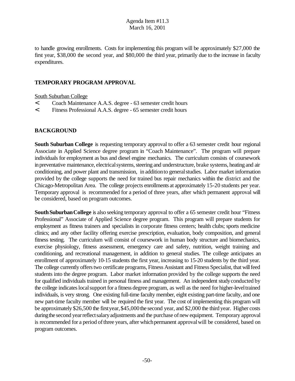to handle growing enrollments. Costs for implementing this program will be approximately \$27,000 the first year, \$38,000 the second year, and \$80,000 the third year, primarily due to the increase in faculty expenditures.

#### **TEMPORARY PROGRAM APPROVAL**

South Suburban College

- < Coach Maintenance A.A.S. degree 63 semester credit hours
- < Fitness Professional A.A.S. degree 65 semester credit hours

#### **BACKGROUND**

**South Suburban College** is requesting temporary approval to offer a 63 semester credit hour regional Associate in Applied Science degree program in "Coach Maintenance". The program will prepare individuals for employment as bus and diesel engine mechanics. The curriculum consists of coursework in preventative maintenance, electrical systems, steering and understructure, brake systems, heating and air conditioning, and power plant and transmission, in additionto generalstudies. Labor market information provided by the college supports the need for trained bus repair mechanics within the district and the Chicago-Metropolitan Area. The college projects enrollments at approximately 15-20 students per year. Temporary approval is recommended for a period of three years, after which permanent approval will be considered, based on program outcomes.

**South Suburban College** is also seeking temporary approval to offer a 65 semester credit hour "Fitness" Professional" Associate of Applied Science degree program. This program will prepare students for employment as fitness trainers and specialists in corporate fitness centers; health clubs; sports medicine clinics; and any other facility offering exercise prescription, evaluation, body composition, and general fitness testing. The curriculum will consist of coursework in human body structure and biomechanics, exercise physiology, fitness assessment, emergency care and safety, nutrition, weight training and conditioning, and recreational management, in addition to general studies. The college anticipates an enrollment of approximately 10-15 students the first year, increasing to 15-20 students by the third year. The college currently offers two certificate programs, Fitness Assistant and Fitness Specialist, that will feed students into the degree program. Labor market information provided by the college supports the need for qualified individuals trained in personal fitness and management. An independent studyconducted by the college indicates local support for a fitness degree program, as well as the need for higher-level trained individuals, is very strong. One existing full-time faculty member, eight existing part-time faculty, and one new part-time faculty member will be required the first year. The cost of implementing this program will be approximately \$26,500 the first year, \$45,000 the second year, and \$2,000 the third year. Higher costs during the second year reflect salary adjustments and the purchase of new equipment. Temporary approval is recommended for a period of three years, after which permanent approval will be considered, based on program outcomes.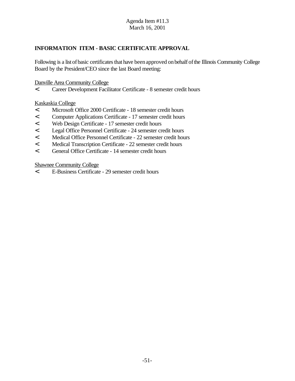### **INFORMATION ITEM - BASIC CERTIFICATE APPROVAL**

Following is a list of basic certificates that have been approved on behalf of the Illinois Community College Board by the President/CEO since the last Board meeting:

Danville Area Community College

< Career Development Facilitator Certificate - 8 semester credit hours

Kaskaskia College

- < Microsoft Office 2000 Certificate 18 semester credit hours
- < Computer Applications Certificate 17 semester credit hours
- < Web Design Certificate 17 semester credit hours
- < Legal Office Personnel Certificate 24 semester credit hours
- < Medical Office Personnel Certificate 22 semester credit hours
- < Medical Transcription Certificate 22 semester credit hours
- < General Office Certificate 14 semester credit hours

Shawnee Community College

< E-Business Certificate - 29 semester credit hours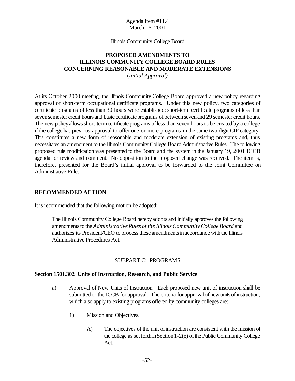#### Illinois Community College Board

#### **PROPOSED AMENDMENTS TO ILLINOIS COMMUNITY COLLEGE BOARD RULES CONCERNING REASONABLE AND MODERATE EXTENSIONS**

(*Initial Approval)*

At its October 2000 meeting, the Illinois Community College Board approved a new policy regarding approval of short-term occupational certificate programs. Under this new policy, two categories of certificate programs of less than 30 hours were established: short-term certificate programs of less than seven semester credit hours and basic certificate programs of between seven and 29 semester credit hours. The new policy allows short-term certificate programs of less than seven hours to be created by a college if the college has previous approval to offer one or more programs in the same two-digit CIP category. This constitutes a new form of reasonable and moderate extension of existing programs and, thus necessitates an amendment to the Illinois Community College Board Administrative Rules. The following proposed rule modification was presented to the Board and the system in the January 19, 2001 ICCB agenda for review and comment. No opposition to the proposed change was received. The item is, therefore, presented for the Board's initial approval to be forwarded to the Joint Committee on Administrative Rules.

#### **RECOMMENDED ACTION**

It is recommended that the following motion be adopted:

The Illinois Community College Board herebyadopts and initially approves the following amendments to the *Administrative Rules of the Illinois Community College Board* and authorizes its President/CEO to process these amendments in accordance with the Illinois Administrative Procedures Act.

#### SUBPART C: PROGRAMS

#### **Section 1501.302 Units of Instruction, Research, and Public Service**

- a) Approval of New Units of Instruction. Each proposed new unit of instruction shall be submitted to the ICCB for approval. The criteria for approval of new units of instruction, which also apply to existing programs offered by community colleges are:
	- 1) Mission and Objectives.
		- A) The objectives of the unit ofinstruction are consistent with the mission of the college as set forth in Section 1-2(e) of the Public Community College Act.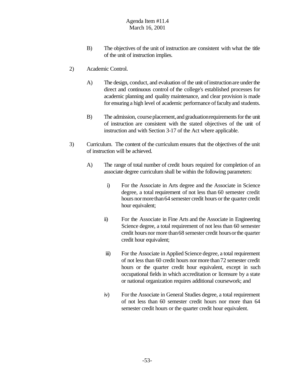- B) The objectives of the unit of instruction are consistent with what the title of the unit of instruction implies.
- 2) Academic Control.
	- A) The design, conduct, and evaluation of the unit of instruction are under the direct and continuous control of the college's established processes for academic planning and quality maintenance, and clear provision is made for ensuring a high level of academic performance of faculty and students.
	- B) The admission, course placement, and graduation requirements for the unit of instruction are consistent with the stated objectives of the unit of instruction and with Section 3-17 of the Act where applicable.
- 3) Curriculum. The content of the curriculum ensures that the objectives of the unit of instruction will be achieved.
	- A) The range of total number of credit hours required for completion of an associate degree curriculum shall be within the following parameters:
		- i) For the Associate in Arts degree and the Associate in Science degree, a total requirement of not less than 60 semester credit hours nor more than 64 semester credit hours or the quarter credit hour equivalent;
		- ii) For the Associate in Fine Arts and the Associate in Engineering Science degree, a total requirement of not less than 60 semester credit hours nor more than68 semester credit hoursorthe quarter credit hour equivalent;
		- iii) For the Associate in Applied Science degree, a total requirement of not less than 60 credit hours nor more than72 semester credit hours or the quarter credit hour equivalent, except in such occupational fields in which accreditation or licensure by a state or national organization requires additional coursework; and
		- iv) For the Associate in General Studies degree, a total requirement of not less than 60 semester credit hours nor more than 64 semester credit hours or the quarter credit hour equivalent.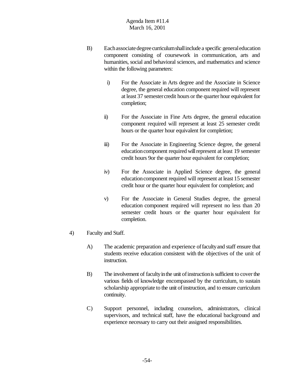- B) Eachassociatedegreecurriculumshallinclude a specific generaleducation component consisting of coursework in communication, arts and humanities, social and behavioral sciences, and mathematics and science within the following parameters:
	- i) For the Associate in Arts degree and the Associate in Science degree, the general education component required will represent at least 37 semestercredit hours or the quarter hour equivalent for completion;
	- ii) For the Associate in Fine Arts degree, the general education component required will represent at least 25 semester credit hours or the quarter hour equivalent for completion;
	- iii) For the Associate in Engineering Science degree, the general education component required will represent at least 19 semester credit hours 9or the quarter hour equivalent for completion;
	- iv) For the Associate in Applied Science degree, the general educationcomponent required will represent at least 15 semester credit hour or the quarter hour equivalent for completion; and
	- v) For the Associate in General Studies degree, the general education component required will represent no less than 20 semester credit hours or the quarter hour equivalent for completion.
- 4) Faculty and Staff.
	- A) The academic preparation and experience offacultyand staff ensure that students receive education consistent with the objectives of the unit of instruction.
	- B) The involvement of faculty in the unit of instruction is sufficient to cover the various fields of knowledge encompassed by the curriculum, to sustain scholarship appropriate to the unit of instruction, and to ensure curriculum continuity.
	- C) Support personnel, including counselors, administrators, clinical supervisors, and technical staff, have the educational background and experience necessary to carry out their assigned responsibilities.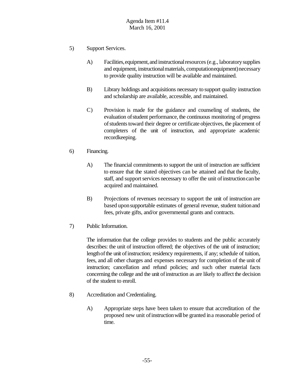- 5) Support Services.
	- A) Facilities,equipment,and instructionalresources(e.g., laboratorysupplies and equipment, instructional materials, computationequipment) necessary to provide quality instruction will be available and maintained.
	- B) Library holdings and acquisitions necessary to support quality instruction and scholarship are available, accessible, and maintained.
	- C) Provision is made for the guidance and counseling of students, the evaluation ofstudent performance, the continuous monitoring of progress of students toward their degree or certificate objectives, the placement of completers of the unit of instruction, and appropriate academic recordkeeping.
- 6) Financing.
	- A) The financial commitments to support the unit of instruction are sufficient to ensure that the stated objectives can be attained and that the faculty, staff, and support services necessary to offer the unit of instruction can be acquired and maintained.
	- B) Projections of revenues necessary to support the unit of instruction are based uponsupportable estimates of general revenue, student tuitionand fees, private gifts, and/or governmental grants and contracts.
- 7) Public Information.

The information that the college provides to students and the public accurately describes: the unit of instruction offered; the objectives of the unit of instruction; length of the unit of instruction; residency requirements, if any; schedule of tuition, fees, and all other charges and expenses necessary for completion of the unit of instruction; cancellation and refund policies; and such other material facts concerning the college and the unit of instruction as are likely to affect the decision of the student to enroll.

- 8) Accreditation and Credentialing.
	- A) Appropriate steps have been taken to ensure that accreditation of the proposed new unit of instruction will be granted in a reasonable period of time.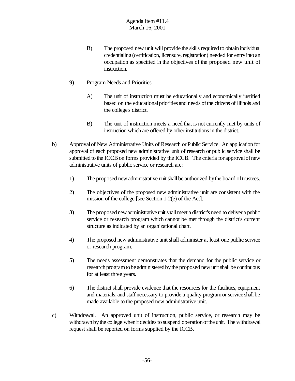- B) The proposed new unit will provide the skills required to obtain individual credentialing (certification, licensure, registration) needed for entry into an occupation as specified in the objectives of the proposed new unit of instruction.
- 9) Program Needs and Priorities.
	- A) The unit of instruction must be educationally and economically justified based on the educational priorities and needs of the citizens of Illinois and the college's district.
	- B) The unit of instruction meets a need that is not currently met by units of instruction which are offered by other institutions in the district.
- b) Approvalof New Administrative Units of Research or Public Service. An application for approval of each proposed new administrative unit of research or public service shall be submitted to the ICCB on forms provided by the ICCB. The criteria for approval of new administrative units of public service or research are:
	- 1) The proposed new administrative unit shall be authorized by the board of trustees.
	- 2) The objectives of the proposed new administrative unit are consistent with the mission of the college [see Section 1-2(e) of the Act].
	- 3) The proposed new administrative unit shall meet a district's need to deliver a public service or research program which cannot be met through the district's current structure as indicated by an organizational chart.
	- 4) The proposed new administrative unit shall administer at least one public service or research program.
	- 5) The needs assessment demonstrates that the demand for the public service or research program to be administered by the proposed new unit shall be continuous for at least three years.
	- 6) The district shall provide evidence that the resources for the facilities, equipment and materials, and staff necessary to provide a quality program or service shall be made available to the proposed new administrative unit.
- c) Withdrawal. An approved unit of instruction, public service, or research may be withdrawn by the college when it decides to suspend operation of the unit. The withdrawal request shall be reported on forms supplied by the ICCB.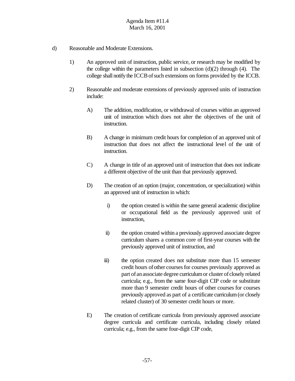- d) Reasonable and Moderate Extensions.
	- 1) An approved unit of instruction, public service, or research may be modified by the college within the parameters listed in subsection  $(d)(2)$  through  $(4)$ . The college shall notify the ICCB of such extensions on forms provided by the ICCB.
	- 2) Reasonable and moderate extensions of previously approved units of instruction include:
		- A) The addition, modification, or withdrawal of courses within an approved unit of instruction which does not alter the objectives of the unit of instruction.
		- B) A change in minimum credit hours for completion of an approved unit of instruction that does not affect the instructional level of the unit of instruction.
		- C) A change in title of an approved unit of instruction that does not indicate a different objective of the unit than that previously approved.
		- D) The creation of an option (major, concentration, or specialization) within an approved unit of instruction in which:
			- i) the option created is within the same general academic discipline or occupational field as the previously approved unit of instruction,
			- ii) the option created within a previously approved associate degree curriculum shares a common core of first-year courses with the previously approved unit of instruction, and
			- iii) the option created does not substitute more than 15 semester credit hours of other courses for courses previously approved as part of an associate degree curriculum or cluster of closely related curricula; e.g., from the same four-digit CIP code or substitute more than 9 semester credit hours of other courses for courses previously approved as part of a certificate curriculum(or closely related cluster) of 30 semester credit hours or more.
		- E) The creation of certificate curricula from previously approved associate degree curricula and certificate curricula, including closely related curricula; e.g., from the same four-digit CIP code,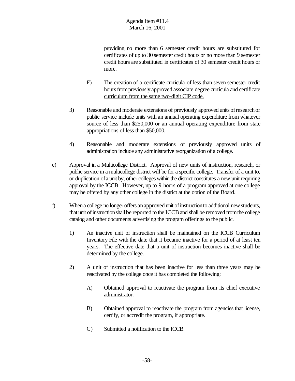providing no more than 6 semester credit hours are substituted for certificates of up to 30 semester credit hours or no more than 9 semester credit hours are substituted in certificates of 30 semester credit hours or more.

- F) The creation of a certificate curricula of less than seven semester credit hours from previously approved associate degree curricula and certificate curriculum from the same two-digit CIP code.
- 3) Reasonable and moderate extensions of previously approved units ofresearchor public service include units with an annual operating expenditure from whatever source of less than \$250,000 or an annual operating expenditure from state appropriations of less than \$50,000.
- 4) Reasonable and moderate extensions of previously approved units of administration include any administrative reorganization of a college.
- e) Approval in a Multicollege District. Approval of new units of instruction, research, or public service in a multicollege district will be for a specific college. Transfer of a unit to, or duplication ofa unit by, other colleges within the district constitutes a new unit requiring approval by the ICCB. However, up to 9 hours of a program approved at one college may be offered by any other college in the district at the option of the Board.
- f) When a college no longer offers an approved unit of instruction to additional new students, that unit ofinstructionshall be reported to the ICCBand shall be removed fromthe college catalog and other documents advertising the program offerings to the public.
	- 1) An inactive unit of instruction shall be maintained on the ICCB Curriculum Inventory File with the date that it became inactive for a period of at least ten years. The effective date that a unit of instruction becomes inactive shall be determined by the college.
	- 2) A unit of instruction that has been inactive for less than three years may be reactivated by the college once it has completed the following:
		- A) Obtained approval to reactivate the program from its chief executive administrator.
		- B) Obtained approval to reactivate the program from agencies that license, certify, or accredit the program, if appropriate.
		- C) Submitted a notification to the ICCB.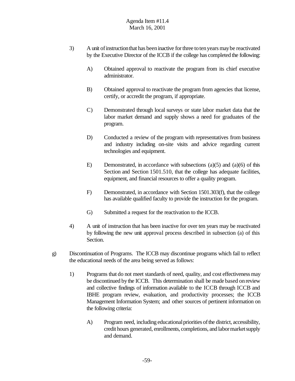- 3) A unit ofinstructionthat has beeninactive forthree totenyears maybe reactivated by the Executive Director of the ICCB if the college has completed the following:
	- A) Obtained approval to reactivate the program from its chief executive administrator.
	- B) Obtained approval to reactivate the program from agencies that license, certify, or accredit the program, if appropriate.
	- C) Demonstrated through local surveys or state labor market data that the labor market demand and supply shows a need for graduates of the program.
	- D) Conducted a review of the program with representatives from business and industry including on-site visits and advice regarding current technologies and equipment.
	- E) Demonstrated, in accordance with subsections (a)(5) and (a)(6) of this Section and Section 1501.510, that the college has adequate facilities, equipment, and financial resources to offer a quality program.
	- F) Demonstrated, in accordance with Section 1501.303(f), that the college has available qualified faculty to provide the instruction for the program.
	- G) Submitted a request for the reactivation to the ICCB.
- 4) A unit of instruction that has been inactive for over ten years may be reactivated by following the new unit approval process described in subsection (a) of this Section.
- g) Discontinuation of Programs. The ICCB may discontinue programs which fail to reflect the educational needs of the area being served as follows:
	- 1) Programs that do not meet standards of need, quality, and cost effectivenessmay be discontinued bythe ICCB. This determination shall be made based onreview and collective findings of information available to the ICCB through ICCB and IBHE program review, evaluation, and productivity processes; the ICCB Management Information System; and other sources of pertinent information on the following criteria:
		- A) Program need, including educational priorities of the district, accessibility, credit hours generated, enrollments, completions, and labor market supply and demand.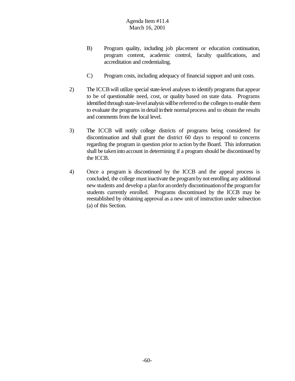- B) Program quality, including job placement or education continuation, program content, academic control, faculty qualifications, and accreditation and credentialing.
- C) Program costs, including adequacy of financial support and unit costs.
- 2) The ICCBwill utilize special state-level analyses to identify programs that appear to be of questionable need, cost, or quality based on state data. Programs identified through state-level analysis will be referred to the colleges to enable them to evaluate the programs in detail intheir normalprocess and to obtain the results and comments from the local level.
- 3) The ICCB will notify college districts of programs being considered for discontinuation and shall grant the district 60 days to respond to concerns regarding the program in question prior to action bythe Board. This information shall be takeninto account in determining if a program should be discontinued by the ICCB.
- 4) Once a program is discontinued by the ICCB and the appeal process is concluded, the college must inactivate the programbynot enrolling any additional new students and develop a planfor anorderly discontinuationofthe programfor students currently enrolled. Programs discontinued by the ICCB may be reestablished by obtaining approval as a new unit of instruction under subsection (a) of this Section.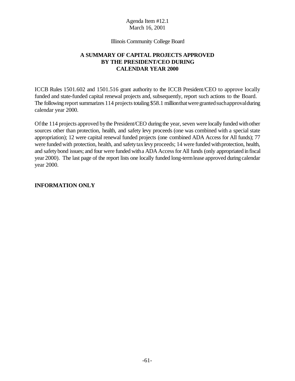Illinois Community College Board

### **A SUMMARY OF CAPITAL PROJECTS APPROVED BY THE PRESIDENT/CEO DURING CALENDAR YEAR 2000**

ICCB Rules 1501.602 and 1501.516 grant authority to the ICCB President/CEO to approve locally funded and state-funded capital renewal projects and, subsequently, report such actions to the Board. The following report summarizes 114 projects totaling \$58.1 million that were granted such approval during calendar year 2000.

Ofthe 114 projects approved bythe President/CEO during the year, seven were locally funded withother sources other than protection, health, and safety levy proceeds (one was combined with a special state appropriation); 12 were capital renewal funded projects (one combined ADA Access for All funds); 77 were funded with protection, health, and safety tax levy proceeds; 14 were funded with protection, health, and safety bond issues; and four were funded with a ADA Access for All funds (only appropriated in fiscal year 2000). The last page of the report lists one locally funded long-termlease approved during calendar year 2000.

#### **INFORMATION ONLY**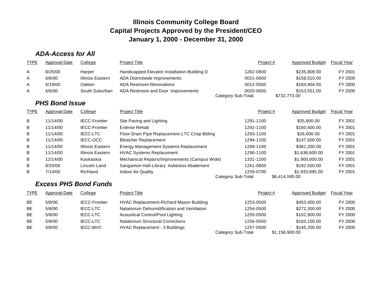# *ADA-Access for All*

| <b>TYPE</b> | Approval Date | College          | Project Title                                | Project #                       | Approved Budget              | <b>Fiscal Year</b> |
|-------------|---------------|------------------|----------------------------------------------|---------------------------------|------------------------------|--------------------|
| A           | 8/25/00       | Harper           | Handicapped Elevator Installation-Building D | 1262-0800                       | \$235,808.00                 | FY 2001            |
| A           | 6/6/00        | Illinois Eastern | ADA Districtwide Improvements                | 0021-0600                       | \$158,510.00                 | FY 2000            |
| A           | 6/19/00       | Oakton           | <b>ADA Restroom Renovations</b>              | 0012-0500                       | \$184,904.00                 | FY 2000            |
| A           | 6/6/00        | South Suburban   | ADA Restroom and Door Improvements           | 0020-0600<br>Category Sub-Total | \$153,551,00<br>\$732,773.00 | FY 2000            |

# *PHS Bond Issue*

| <b>TYPE</b> | <b>Approval Date</b> | College              | <b>Project Title</b>                          | Project#                        | <b>Approved Budget</b>           | Fiscal Year |
|-------------|----------------------|----------------------|-----------------------------------------------|---------------------------------|----------------------------------|-------------|
| B           | 11/14/00             | <b>IECC-Frontier</b> | Site Paving and Lighting                      | 1291-1100                       | \$35,800,00                      | FY 2001     |
| B           | 11/14/00             | <b>IECC-Frontier</b> | <b>Exterior Rehab</b>                         | 1292-1100                       | \$160,400.00                     | FY 2001     |
| B           | 11/14/00             | <b>IECC-LTC</b>      | Floor Drain Pipe Replacement-LTC Crisp Blding | 1293-1100                       | \$26,600.00                      | FY 2001     |
| B           | 11/14/00             | IECC-OCC             | <b>Bleacher Replacement</b>                   | 1294-1100                       | \$147,600.00                     | FY 2001     |
| B           | 11/14/00             | Illinois Eastern     | Energy Management Systems Replacement         | 1289-1100                       | \$381,200,00                     | FY 2001     |
| B           | 11/14/00             | Illinois Eastern     | <b>HVAC Systems Replacement</b>               | 1290-1100                       | \$1,636,600.00                   | FY 2001     |
| B           | 12/14/00             | Kaskaskia            | Mechanical Repairs/Improvements (Campus Wide) | 1331-1200                       | \$1,900,000.00                   | FY 2001     |
| B           | 8/25/00              | Lincoln Land         | Sangamon Hall-Library Asbestos Abatement      | 1261-0800                       | \$192,500.00                     | FY 2001     |
| B           | 7/14/00              | Richland             | Indoor Air Quality                            | 1259-0700<br>Category Sub-Total | \$1,933,895.00<br>\$6,414,595.00 | FY 2001     |

# *Excess PHS Bond Funds*

| <b>TYPE</b> | Approval Date | College              | <b>Project Title</b>                        | Project $#$                     | Approved Budget                | <b>Fiscal Year</b> |
|-------------|---------------|----------------------|---------------------------------------------|---------------------------------|--------------------------------|--------------------|
| <b>BE</b>   | 5/8/00        | <b>IECC-Frontier</b> | HVAC Replacement-Richard Mason Building     | 1253-0500                       | \$453,400.00                   | FY 2000            |
| BE.         | 5/8/00        | <b>IECC-LTC</b>      | Natatorium Dehumidification and Ventilation | 1254-0500                       | \$272,300.00                   | FY 2000            |
| <b>BE</b>   | 5/8/00        | <b>IECC-LTC</b>      | Acoustical Control/Pool Lighting            | 1255-0500                       | \$102,900.00                   | FY 2000            |
| <b>BE</b>   | 5/8/00        | <b>IECC-LTC</b>      | <b>Natatorium Structural Corrections</b>    | 1256-0500                       | \$183,100,00                   | FY 2000            |
| <b>BE</b>   | 5/8/00        | <b>IECC-WVC</b>      | HVAC Replacement - 3 Buildings              | 1257-0500<br>Category Sub-Total | \$145,200,00<br>\$1,156,900.00 | FY 2000            |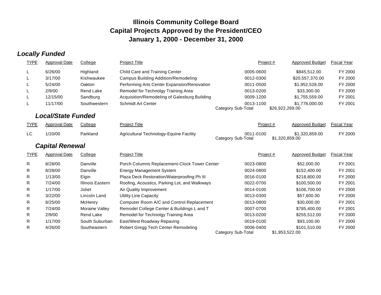# *Locally Funded*

| <b>TYPE</b>  | <b>Approval Date</b>      | College          | <b>Project Title</b>                          | Project $#$                            | <b>Approved Budget</b>            | <b>Fiscal Year</b> |
|--------------|---------------------------|------------------|-----------------------------------------------|----------------------------------------|-----------------------------------|--------------------|
|              | 6/26/00                   | Highland         | Child Care and Training Center                | 0005-0600                              | \$845,512.00                      | FY 2000            |
|              | 3/17/00                   | Kishwaukee       | <b>Campus Building Addition/Remodeling</b>    | 0012-0300                              | \$20,557,370.00                   | FY 2000            |
|              | 5/24/00                   | Oakton           | Performing Arts Center Expansion/Renovation   | 0011-0500                              | \$1,952,528.00                    | FY 2000            |
|              | 2/9/00                    | <b>Rend Lake</b> | Remodel for Technolgy Training Area           | 0013-0200                              | \$33,300.00                       | FY 2000            |
|              | 12/15/00                  | Sandburg         | Acquisition/Remodeling of Galesburg Building  | 0009-1200                              | \$1,755,559.00                    | FY 2001            |
|              | 11/17/00                  | Southwestern     | <b>Schmidt Art Center</b>                     | 0013-1100<br>Category Sub-Total        | \$1,778,000.00<br>\$26,922,269.00 | FY 2001            |
|              | <b>Local/State Funded</b> |                  |                                               |                                        |                                   |                    |
| <b>TYPE</b>  | <b>Approval Date</b>      | College          | <b>Project Title</b>                          | Project#                               | <b>Approved Budget</b>            | <b>Fiscal Year</b> |
| LC           | 1/20/00                   | Parkland         | Agricultural Technology-Equine Facility       | 0011-0100<br><b>Category Sub-Total</b> | \$1,320,859.00<br>\$1,320,859.00  | FY 2000            |
|              | <b>Capital Renewal</b>    |                  |                                               |                                        |                                   |                    |
| <b>TYPE</b>  | <b>Approval Date</b>      | College          | <b>Project Title</b>                          | Project#                               | <b>Approved Budget</b>            | <b>Fiscal Year</b> |
| $\mathsf{R}$ | 8/28/00                   | Danville         | Porch Columns Replacement-Clock Tower Center  | 0023-0800                              | \$52,000.00                       | FY 2001            |
| R            | 8/28/00                   | Danville         | <b>Energy Management System</b>               | 0024-0800                              | \$152,400.00                      | FY 2001            |
| R.           | 1/13/00                   | Elgin            | Plaza Deck Restoration/Waterproofing Ph III   | 0016-0100                              | \$218,800.00                      | FY 2000            |
| R            | 7/24/00                   | Illinois Eastern | Roofing, Acoustics, Parking Lot, and Walkways | 0022-0700                              | \$100,500.00                      | FY 2001            |
| R.           | 1/17/00                   | Joliet           | Air Quality Improvement                       | 0014-0100                              | \$106,700.00                      | FY 2000            |
| R            | 3/22/00                   | Lincoln Land     | <b>Utility Line Capacity</b>                  | 0013-0300                              | \$57,600.00                       | FY 2000            |
| R            | 8/25/00                   | McHenry          | Computer Room A/C and Control Replacement     | 0013-0800                              | \$30,000.00                       | FY 2001            |
| R            | 7/24/00                   | Moraine Valley   | Remodel College Center & Buildings L and T    | 0007-0700                              | \$785,400.00                      | FY 2001            |
| R            | 2/9/00                    | <b>Rend Lake</b> | Remodel for Technolgy Training Area           | 0013-0200                              | \$255,512.00                      | FY 2000            |
| ${\sf R}$    | 1/17/00                   | South Suburban   | East/West Roadway Repaving                    | 0019-0100                              | \$93,100.00                       | FY 2000            |
| R            | 4/26/00                   | Southeastern     | Robert Gregg Tech Center Remodeling           | 0006-0400<br>Category Sub-Total        | \$101,510.00<br>\$1,953,522.00    | FY 2000            |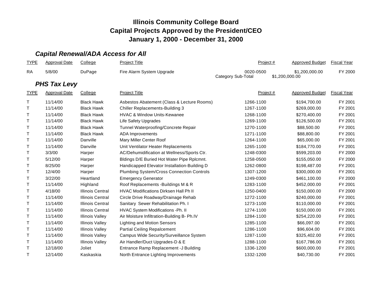# *Capital Renewal/ADA Access for All*

| <b>TYPE</b> | <b>Approval Date</b> | College                 | <b>Project Title</b>                         | Project #                       | <b>Approved Budget</b>           | <b>Fiscal Year</b> |
|-------------|----------------------|-------------------------|----------------------------------------------|---------------------------------|----------------------------------|--------------------|
| <b>RA</b>   | 5/8/00               | DuPage                  | Fire Alarm System Upgrade                    | 0020-0500<br>Category Sub-Total | \$1,200,000.00<br>\$1,200,000.00 | FY 2000            |
|             | <b>PHS Tax Levy</b>  |                         |                                              |                                 |                                  |                    |
| <b>TYPE</b> | <b>Approval Date</b> | College                 | <b>Project Title</b>                         | Project #                       | <b>Approved Budget</b>           | <b>Fiscal Year</b> |
| T           | 11/14/00             | <b>Black Hawk</b>       | Asbestos Abatement (Class & Lecture Rooms)   | 1266-1100                       | \$194,700.00                     | FY 2001            |
| T.          | 11/14/00             | <b>Black Hawk</b>       | <b>Chiller Replacements-Building 3</b>       | 1267-1100                       | \$269,000.00                     | FY 2001            |
| T.          | 11/14/00             | <b>Black Hawk</b>       | <b>HVAC &amp; Window Units-Kewanee</b>       | 1268-1100                       | \$270,400.00                     | FY 2001            |
| T.          | 11/14/00             | <b>Black Hawk</b>       | Life Safety Upgrades                         | 1269-1100                       | \$126,500.00                     | FY 2001            |
| т           | 11/14/00             | <b>Black Hawk</b>       | Tunnel Waterproofing/Concrete Repair         | 1270-1100                       | \$88,500.00                      | FY 2001            |
| T           | 11/14/00             | <b>Black Hawk</b>       | <b>ADA</b> Improvements                      | 1271-1100                       | \$88,800.00                      | FY 2001            |
| T.          | 11/14/00             | Danville                | Mary Miller Center Roof                      | 1264-1100                       | \$65,000.00                      | FY 2001            |
| т           | 11/14/00             | Danville                | Unit Ventilator Heater Replacements          | 1265-1100                       | \$184,770.00                     | FY 2001            |
| т           | 3/3/00               | Harper                  | AC/Dehumidification at Wellness/Sports Ctr.  | 1248-0300                       | \$599,203.00                     | FY 2000            |
| T           | 5/12/00              | Harper                  | Bldings D/E Buried Hot Water Pipe Rplcmnt.   | 1258-0500                       | \$155,050.00                     | FY 2000            |
| т           | 8/25/00              | Harper                  | Handicapped Elevator Installation-Building D | 1262-0800                       | \$198,487.00                     | FY 2001            |
| Τ           | 12/4/00              | Harper                  | Plumbing System/Cross Connection Controls    | 1307-1200                       | \$300,000.00                     | FY 2001            |
| т           | 3/22/00              | Heartland               | <b>Emergency Generator</b>                   | 1249-0300                       | \$461,100.00                     | FY 2000            |
| T.          | 11/14/00             | Highland                | Roof Replacements - Buildings M & R          | 1283-1100                       | \$452,000.00                     | FY 2001            |
| т           | 4/18/00              | <b>Illinois Central</b> | HVAC Modifications Dirksen Hall Ph II        | 1250-0400                       | \$150,000.00                     | FY 2000            |
| T           | 11/14/00             | <b>Illinois Central</b> | Circle Drive Roadway/Drainage Rehab          | 1272-1100                       | \$240,000.00                     | FY 2001            |
| T.          | 11/14/00             | <b>Illinois Central</b> | Sanitary Sewer Rehabilitation Ph. I          | 1273-1100                       | \$110,000.00                     | FY 2001            |
| т           | 11/14/00             | <b>Illinois Central</b> | HVAC System Modifications -Ph. II            | 1274-1100                       | \$150,000.00                     | FY 2001            |
| т           | 11/14/00             | <b>Illinois Valley</b>  | Air Moisture Infiltration-Building B- Ph.IV  | 1284-1100                       | \$254,220.00                     | FY 2001            |
| т           | 11/14/00             | <b>Illinois Valley</b>  | <b>Lighting and Motion Sensors</b>           | 1285-1100                       | \$66,097.00                      | FY 2001            |
| т           | 11/14/00             | <b>Illinois Valley</b>  | <b>Partial Ceiling Repalcement</b>           | 1286-1100                       | \$96,604.00                      | FY 2001            |
| т           | 11/14/00             | <b>Illinois Valley</b>  | Campus Wide Security/Surveillance System     | 1287-1100                       | \$325,402.00                     | FY 2001            |
| Τ           | 11/14/00             | <b>Illinois Valley</b>  | Air Handler/Duct Upgrades-D & E              | 1288-1100                       | \$167,786.00                     | FY 2001            |
| т           | 12/18/00             | Joliet                  | Entrance Ramp Replacement -J Building        | 1336-1200                       | \$600,000.00                     | FY 2001            |
| т           | 12/14/00             | Kaskaskia               | North Entrance Lighting Improvements         | 1332-1200                       | \$40,730.00                      | FY 2001            |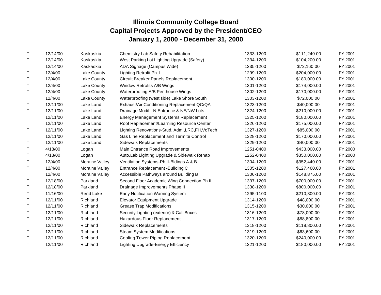| T | 12/14/00 | Kaskaskia        | <b>Chemistry Lab Safety Rehabilitation</b>       | 1333-1200 | \$111,240.00 | FY 2001 |
|---|----------|------------------|--------------------------------------------------|-----------|--------------|---------|
| T | 12/14/00 | Kaskaskia        | West Parking Lot Lighting Upgrade (Safety)       | 1334-1200 | \$104,200.00 | FY 2001 |
| Т | 12/14/00 | Kaskaskia        | ADA Signage (Campus Wide)                        | 1335-1200 | \$72,160.00  | FY 2001 |
| T | 12/4/00  | Lake County      | Lighting Retrofit Ph. II                         | 1299-1200 | \$204,000.00 | FY 2001 |
| т | 12/4/00  | Lake County      | Circuit Breaker Panels Replacement               | 1300-1200 | \$180,000.00 | FY 2001 |
| Т | 12/4/00  | Lake County      | Window Retrofits A/B Wings                       | 1301-1200 | \$174,000.00 | FY 2001 |
| т | 12/4/00  | Lake County      | Waterproofing A/B Penthouse Wings                | 1302-1200 | \$170,000.00 | FY 2001 |
| Τ | 12/4/00  | Lake County      | Waterproofing (west side) Lake Shore South       | 1303-1200 | \$72,000.00  | FY 2001 |
| Т | 12/11/00 | Lake Land        | Exhaust/Air Conditioning Replacement QC/QA       | 1323-1200 | \$40,000.00  | FY 2001 |
| т | 12/11/00 | Lake Land        | Drainage Modif.- N. Entrance & NE/NW Lots        | 1324-1200 | \$210,000.00 | FY 2001 |
| T | 12/11/00 | Lake Land        | <b>Energy Management Systems Replacement</b>     | 1325-1200 | \$180,000.00 | FY 2001 |
| т | 12/11/00 | Lake Land        | Roof Replacement/Learning Resource Center        | 1326-1200 | \$175,000.00 | FY 2001 |
| T | 12/11/00 | Lake Land        | Lighting Renovations-Stud. Adm., LRC, FH, VoTech | 1327-1200 | \$85,000.00  | FY 2001 |
| т | 12/11/00 | Lake Land        | Gas Line Replacement and Termite Control         | 1328-1200 | \$170,000.00 | FY 2001 |
| т | 12/11/00 | Lake Land        | <b>Sidewalk Replacements</b>                     | 1329-1200 | \$40,000.00  | FY 2001 |
| T | 4/18/00  | Logan            | Main Entrance Road Improvements                  | 1251-0400 | \$433,000.00 | FY 2000 |
| т | 4/18/00  | Logan            | Auto.Lab Lighting Upgrade & Sidewalk Rehab       | 1252-0400 | \$350,000.00 | FY 2000 |
| T | 12/4/00  | Moraine Valley   | Ventilation Systems-Ph II-Bldings A & B          | 1304-1200 | \$352,440.00 | FY 2001 |
| т | 12/4/00  | Moraine Valley   | Entrance Replacement -Building C                 | 1305-1200 | \$127,460.00 | FY 2001 |
| Τ | 12/4/00  | Moraine Valley   | Accessible Pathways around Building B            | 1306-1200 | \$148,875.00 | FY 2001 |
| Т | 12/18/00 | Parkland         | Second Floor Academic Wing Connection Ph II      | 1337-1200 | \$700,000.00 | FY 2001 |
| т | 12/18/00 | Parkland         | Drainage Improvements Phase II                   | 1338-1200 | \$800,000.00 | FY 2001 |
| Т | 11/16/00 | <b>Rend Lake</b> | <b>Early Notification Warning System</b>         | 1295-1100 | \$210,800.00 | FY 2001 |
| т | 12/11/00 | Richland         | <b>Elevator Equipment Upgrade</b>                | 1314-1200 | \$48,000.00  | FY 2001 |
| Τ | 12/11/00 | Richland         | <b>Grease Trap Modifications</b>                 | 1315-1200 | \$30,000.00  | FY 2001 |
| Т | 12/11/00 | Richland         | Security Lighting (exterior) & Call Boxes        | 1316-1200 | \$78,000.00  | FY 2001 |
| т | 12/11/00 | Richland         | Hazardous Floor Replacement                      | 1317-1200 | \$88,800.00  | FY 2001 |
| Т | 12/11/00 | Richland         | <b>Sidewalk Replacements</b>                     | 1318-1200 | \$118,800.00 | FY 2001 |
| т | 12/11/00 | Richland         | <b>Steam System Modifications</b>                | 1319-1200 | \$63,600.00  | FY 2001 |
| Τ | 12/11/00 | Richland         | <b>Cooling Tower Piping Replacement</b>          | 1320-1200 | \$240,000.00 | FY 2001 |
| т | 12/11/00 | Richland         | Lighting Upgrade-Energy Efficiency               | 1321-1200 | \$180,000.00 | FY 2001 |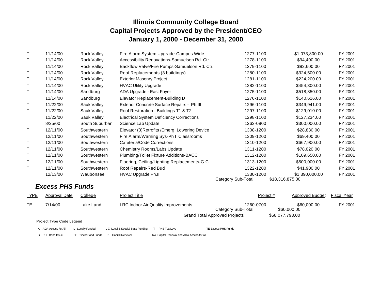|   | 11/14/00 | Rock Valley        | Fire Alarm System Upgrade-Campus Wide           | 1277-1100                       | \$1,073,800.00                    | FY 2001 |
|---|----------|--------------------|-------------------------------------------------|---------------------------------|-----------------------------------|---------|
|   | 11/14/00 | Rock Valley        | Accessibility Renovations-Samuelson Rd. Ctr.    | 1278-1100                       | \$94,400.00                       | FY 2001 |
|   | 11/14/00 | Rock Valley        | Backflow Valve/Fire Pumps-Samuelson Rd. Ctr.    | 1279-1100                       | \$82,600.00                       | FY 2001 |
|   | 11/14/00 | <b>Rock Valley</b> | Roof Replacements (3 buildings)                 | 1280-1100                       | \$324,500.00                      | FY 2001 |
| T | 11/14/00 | Rock Valley        | <b>Exterior Masonry Project</b>                 | 1281-1100                       | \$224,200.00                      | FY 2001 |
|   | 11/14/00 | <b>Rock Valley</b> | <b>HVAC Utility Upgrade</b>                     | 1282-1100                       | \$454,300.00                      | FY 2001 |
| T | 11/14/00 | Sandburg           | ADA Upgrade - East Foyer                        | 1275-1100                       | \$518,850.00                      | FY 2001 |
|   | 11/14/00 | Sandburg           | Elevator Replacement-Building D                 | 1276-1100                       | \$140,616.00                      | FY 2001 |
|   | 11/22/00 | Sauk Valley        | Exterior Concrete Surface Repairs - Ph.III      | 1296-1100                       | \$349,941.00                      | FY 2001 |
| T | 11/22/00 | Sauk Valley        | Roof Restoration - Buildings T1 & T2            | 1297-1100                       | \$129,010.00                      | FY 2001 |
| Т | 11/22/00 | Sauk Valley        | <b>Electrical System Deficiency Corrections</b> | 1298-1100                       | \$127,234.00                      | FY 2001 |
| Т | 8/25/00  | South Suburban     | Science Lab Update                              | 1263-0800                       | \$300,000.00                      | FY 2001 |
|   | 12/11/00 | Southwestern       | Elevator (3) Retrofits / Emerg. Lowering Device | 1308-1200                       | \$28,830.00                       | FY 2001 |
|   | 12/11/00 | Southwestern       | Fire Alarm/Warning Sys-Ph I Classrooms          | 1309-1200                       | \$69,400.00                       | FY 2001 |
| Т | 12/11/00 | Southwestern       | Cafeteria/Code Corrections                      | 1310-1200                       | \$667,900.00                      | FY 2001 |
|   | 12/11/00 | Southwestern       | Chemistry Rooms/Labs Update                     | 1311-1200                       | \$78,020.00                       | FY 2001 |
| т | 12/11/00 | Southwestern       | Plumbing/Toilet Fixture Additions-BACC          | 1312-1200                       | \$109,650.00                      | FY 2001 |
| T | 12/11/00 | Southwestern       | Flooring, Ceiling/Lighting Replacements-G.C.    | 1313-1200                       | \$500,000.00                      | FY 2001 |
|   | 12/11/00 | Southwestern       | Roof Repairs-Red Bud                            | 1322-1200                       | \$41,900.00                       | FY 2001 |
| T | 12/13/00 | Waubonsee          | HVAC Upgrade Ph.II                              | 1330-1200<br>Category Sub-Total | \$1,390,000.00<br>\$18,316,875.00 | FY 2001 |

# *Excess PHS Funds*

| <b>TYPE</b> | Approval Date            | College   | Project Title                              | Project #                       | Approved Budget            | <b>Fiscal Year</b> |
|-------------|--------------------------|-----------|--------------------------------------------|---------------------------------|----------------------------|--------------------|
| TE.         | 7/14/00                  | Lake Land | <b>LRC Indoor Air Quality Improvements</b> | 1260-0700<br>Category Sub-Total | \$60,000,00<br>\$60,000.00 | FY 2001            |
|             | Project Type Code Legend |           | <b>Grand Total Approved Projects</b>       |                                 | \$58,077,793.00            |                    |

| A ADA-Access for All    | L Locally Funded                      | L C Local & Special State Funding | T PHS Tax Levy                            | TE Excess PHS Funds |
|-------------------------|---------------------------------------|-----------------------------------|-------------------------------------------|---------------------|
| <b>B</b> PHS Bond Issue | BE ExcessBond Funds R Capital Renewal |                                   | RA Capital Renewal and ADA Access for All |                     |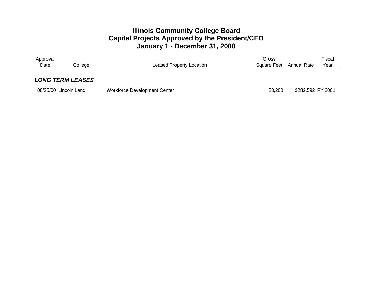| Approval                |         |                                     | Gross       |                   | Fiscal |
|-------------------------|---------|-------------------------------------|-------------|-------------------|--------|
| Date                    | Colleae | <b>Leased Property Location</b>     | Square Feet | Annual Rate       | Year   |
| <b>LONG TERM LEASES</b> |         |                                     |             |                   |        |
|                         |         |                                     |             |                   |        |
| 08/25/00 Lincoln Land   |         | <b>Workforce Development Center</b> | 23,200      | \$282,592 FY 2001 |        |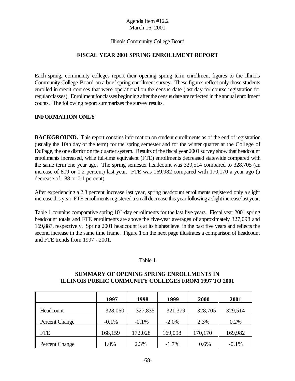#### Illinois Community College Board

#### **FISCAL YEAR 2001 SPRING ENROLLMENT REPORT**

Each spring, community colleges report their opening spring term enrollment figures to the Illinois Community College Board on a brief spring enrollment survey. These figures reflect only those students enrolled in credit courses that were operational on the census date (last day for course registration for regularclasses). Enrollment for classes beginning after the census date are reflected in the annual enrollment counts. The following report summarizes the survey results.

#### **INFORMATION ONLY**

**BACKGROUND.** This report contains information on student enrollments as of the end of registration (usually the 10th day of the term) for the spring semester and for the winter quarter at the College of DuPage, the one district on the quarter system. Results of the fiscal year 2001 survey show that headcount enrollments increased, while full-time equivalent (FTE) enrollments decreased statewide compared with the same term one year ago. The spring semester headcount was 329,514 compared to 328,705 (an increase of 809 or 0.2 percent) last year. FTE was 169,982 compared with 170,170 a year ago (a decrease of 188 or 0.1 percent).

After experiencing a 2.3 percent increase last year, spring headcount enrollments registered only a slight increase this year. FTE enrollments registered a small decrease this year following a slight increase last year.

Table 1 contains comparative spring  $10<sup>th</sup>$ -day enrollments for the last five years. Fiscal year 2001 spring headcount totals and FTE enrollments are above the five-year averages of approximately 327,098 and 169,887, respectively. Spring 2001 headcount is at its highest level in the past five years and reflects the second increase in the same time frame. Figure 1 on the next page illustrates a comparison of headcount and FTE trends from 1997 - 2001.

#### Table 1

#### **SUMMARY OF OPENING SPRING ENROLLMENTS IN ILLINOIS PUBLIC COMMUNITY COLLEGES FROM 1997 TO 2001**

|                       | 1997    | 1998    | 1999     | 2000    | 2001    |
|-----------------------|---------|---------|----------|---------|---------|
| Headcount             | 328,060 | 327,835 | 321,379  | 328,705 | 329,514 |
| <b>Percent Change</b> | $-0.1%$ | $-0.1%$ | $-2.0\%$ | 2.3%    | 0.2%    |
| FTE                   | 168,159 | 172,028 | 169,098  | 170,170 | 169,982 |
| Percent Change        | 1.0%    | 2.3%    | $-1.7\%$ | 0.6%    | $-0.1%$ |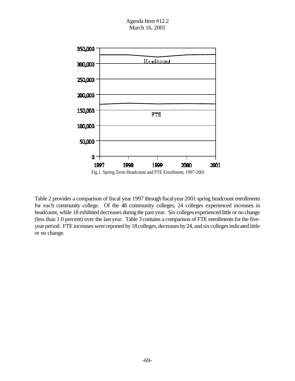

Table 2 provides a comparison of fiscal year 1997 through fiscalyear 2001 spring headcount enrollments for each community college. Of the 48 community colleges, 24 colleges experienced increases in headcount, while 18 exhibited decreases during the past year. Six colleges experienced little or no change (less than 1.0 percent) over the last year. Table 3 contains a comparison of FTE enrollments for the fiveyear period. FTE increases were reported by 18 colleges, decreases by 24, and six colleges indicated little or no change.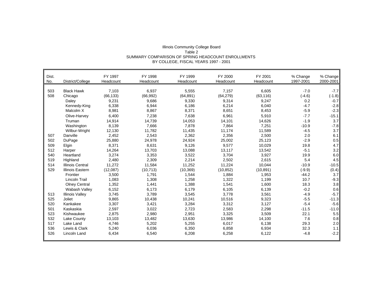| Illinois Community College Board                   |
|----------------------------------------------------|
| Table 2                                            |
| SUMMARY COMPARISON OF SPRING HEADCOUNT ENROLLMENTS |
| BY COLLEGE, FISCAL YEARS 1997 - 2001               |

| Dist. |                         | FY 1997   | FY 1998   | FY 1999   | FY 2000   | FY 2001   | % Change  | % Change  |
|-------|-------------------------|-----------|-----------|-----------|-----------|-----------|-----------|-----------|
| No.   | District/College        | Headcount | Headcount | Headcount | Headcount | Headcount | 1997-2001 | 2000-2001 |
|       |                         |           |           |           |           |           |           |           |
| 503   | <b>Black Hawk</b>       | 7,103     | 6,937     | 5,555     | 7,157     | 6,605     | $-7.0$    | $-7.7$    |
| 508   | Chicago                 | (66, 133) | (66, 992) | (64, 891) | (64, 279) | (63, 116) | $(-4.6)$  | $(-1.8)$  |
|       | Daley                   | 9,231     | 9,686     | 9,330     | 9,314     | 9,247     | 0.2       | $-0.7$    |
|       | Kennedy-King            | 6,338     | 6.944     | 6.186     | 6,214     | 6,040     | $-4.7$    | $-2.8$    |
|       | Malcolm X               | 8,981     | 8,867     | 8,371     | 8,651     | 8,453     | $-5.9$    | $-2.3$    |
|       | Olive-Harvev            | 6.400     | 7,238     | 7.638     | 6.961     | 5,910     | $-7.7$    | $-15.1$   |
|       | Truman                  | 14,914    | 14,739    | 14,053    | 14,101    | 14,626    | $-1.9$    | 3.7       |
|       | Washington              | 8,139     | 7,666     | 7,878     | 7,864     | 7,251     | $-10.9$   | $-7.8$    |
|       | Wilbur-Wright           | 12,130    | 11,782    | 11,435    | 11,174    | 11,589    | $-4.5$    | 3.7       |
| 507   | Danville                | 2,452     | 2,543     | 2,362     | 2,356     | 2,500     | 2.0       | 6.1       |
| 502   | DuPage                  | 25,880    | 24,978    | 24,924    | 25,002    | 25,123    | $-2.9$    | 0.5       |
| 509   | Elgin                   | 8,371     | 8,631     | 9,126     | 9,577     | 10,029    | 19.8      | 4.7       |
| 512   | Harper                  | 14,264    | 13.703    | 13.088    | 13.117    | 13,542    | $-5.1$    | 3.2       |
| 540   | Heartland               | 3,274     | 3,353     | 3,522     | 3,704     | 3,927     | 19.9      | 6.0       |
| 519   | Highland                | 2,480     | 2,309     | 2,214     | 2.502     | 2,615     | 5.4       | 4.5       |
| 514   | <b>Illinois Central</b> | 11,272    | 11,584    | 11,252    | 11.224    | 10,044    | $-10.9$   | $-10.5$   |
| 529   | <b>Illinois Eastern</b> | (12,087)  | (10, 713) | (10, 369) | (10, 852) | (10, 891) | $(-9.9)$  | (0.4)     |
|       | Frontier                | 3,500     | 1,791     | 1,544     | 1,884     | 1,953     | $-44.2$   | 3.7       |
|       | <b>Lincoln Trail</b>    | 1,083     | 1,308     | 1,258     | 1,322     | 1,199     | 10.7      | $-9.3$    |
|       | <b>Olney Central</b>    | 1,352     | 1,441     | 1,388     | 1,541     | 1,600     | 18.3      | 3.8       |
|       | Wabash Valley           | 6,152     | 6,173     | 6,179     | 6,105     | 6,139     | $-0.2$    | 0.6       |
| 513   | <b>Illinois Valley</b>  | 3,745     | 3.789     | 3,545     | 3.778     | 3,561     | $-4.9$    | $-5.7$    |
| 525   | Joliet                  | 9,865     | 10,438    | 10,241    | 10,516    | 9,323     | $-5.5$    | $-11.3$   |
| 520   | Kankakee                | 3,307     | 3,421     | 3,284     | 3,312     | 3,127     | $-5.4$    | $-5.6$    |
| 501   | Kaskaskia               | 2,597     | 3,022     | 2,723     | 2,583     | 2,298     | $-11.5$   | $-11.0$   |
| 523   | Kishwaukee              | 2,875     | 2,980     | 2,951     | 3,325     | 3,509     | 22.1      | 5.5       |
| 532   | Lake County             | 13,103    | 13,482    | 13,630    | 13,986    | 14,100    | 7.6       | 0.8       |
| 517   | Lake Land               | 4,746     | 5,202     | 5,255     | 6,017     | 6,138     | 29.3      | 2.0       |
| 536   | Lewis & Clark           | 5.240     | 6,036     | 6,350     | 6,858     | 6,934     | 32.3      | 1.1       |
| 526   | Lincoln Land            | 6,434     | 6,540     | 6,208     | 6,258     | 6,122     | $-4.8$    | $-2.2$    |
|       |                         |           |           |           |           |           |           |           |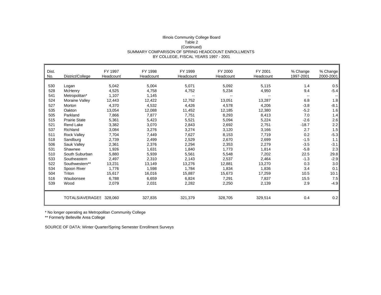## Illinois Community College Board Table 2 (Continued) SUMMARY COMPARISON OF SPRING HEADCOUNT ENROLLMENTS BY COLLEGE, FISCAL YEARS 1997 - 2001

| Dist.<br>No. | District/College        | FY 1997<br>Headcount | FY 1998<br>Headcount | FY 1999<br>Headcount | FY 2000<br>Headcount | FY 2001<br>Headcount | % Change<br>1997-2001 | % Change<br>2000-2001 |
|--------------|-------------------------|----------------------|----------------------|----------------------|----------------------|----------------------|-----------------------|-----------------------|
|              |                         |                      |                      |                      |                      |                      |                       |                       |
| 530          | Logan                   | 5,042                | 5,004                | 5,071                | 5,092                | 5,115                | 1.4                   | 0.5                   |
| 528          | McHenry                 | 4,525                | 4,758                | 4,752                | 5,234                | 4,950                | 9.4                   | $-5.4$                |
| 541          | Metropolitan*           | 1,107                | 1,145                |                      |                      |                      | $\sim$                |                       |
| 524          | Moraine Valley          | 12,443               | 12,422               | 12,752               | 13,051               | 13,287               | 6.8                   | 1.8                   |
| 527          | Morton                  | 4,370                | 4,532                | 4,426                | 4,578                | 4,206                | $-3.8$                | $-8.1$                |
| 535          | Oakton                  | 13,054               | 12,088               | 11,452               | 12,185               | 12,380               | $-5.2$                | 1.6                   |
| 505          | Parkland                | 7,866                | 7,877                | 7,751                | 8,293                | 8,413                | 7.0                   | 1.4                   |
| 515          | <b>Prairie State</b>    | 5,361                | 5,423                | 5,521                | 5,094                | 5,224                | $-2.6$                | 2.6                   |
| 521          | Rend Lake               | 3,382                | 3,070                | 2,843                | 2,692                | 2,751                | $-18.7$               | 2.2                   |
| 537          | Richland                | 3,084                | 3,276                | 3,274                | 3,120                | 3,166                | 2.7                   | 1.5                   |
| 511          | <b>Rock Valley</b>      | 7,704                | 7,449                | 7,627                | 8,153                | 7,719                | 0.2                   | $-5.3$                |
| 518          | Sandburg                | 2,739                | 2,499                | 2,529                | 2,670                | 2,699                | $-1.5$                | 1.1                   |
| 506          | Sauk Valley             | 2,361                | 2,376                | 2,294                | 2,353                | 2,279                | $-3.5$                | $-3.1$                |
| 531          | Shawnee                 | 1,926                | 1,631                | 1,840                | 1,773                | 1,814                | $-5.8$                | 2.3                   |
| 510          | South Suburban          | 5,880                | 5,939                | 5,561                | 5,548                | 7,202                | 22.5                  | 29.8                  |
| 533          | Southeastern            | 2,497                | 2,310                | 2,143                | 2,537                | 2,464                | $-1.3$                | $-2.9$                |
| 522          | Southwestern**          | 13,231               | 13,149               | 13,276               | 12,881               | 13,270               | 0.3                   | 3.0                   |
| 534          | Spoon River             | 1,776                | 1,598                | 1,784                | 1,834                | 1,836                | 3.4                   | 0.1                   |
| 504          | Triton                  | 15,617               | 16,016               | 15,887               | 15,673               | 17,259               | 10.5                  | 10.1                  |
| 516          | Waubonsee               | 6,788                | 6,659                | 6,824                | 7,291                | 7,837                | 15.5                  | 7.5                   |
| 539          | Wood                    | 2,079                | 2,031                | 2,282                | 2,250                | 2,139                | 2.9                   | $-4.9$                |
|              | TOTALS/AVERAGES 328,060 |                      | 327,835              | 321,379              | 328,705              | 329,514              | 0.4                   | 0.2                   |

\* No longer operating as Metropolitan Community College

\*\* Formerly Belleville Area College

SOURCE OF DATA: Winter Quarter/Spring Semester Enrollment Surveys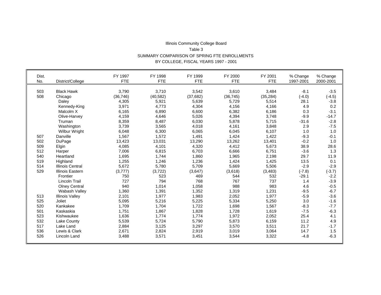## Illinois Community College Board Table 3 SUMMARY COMPARISON OF SPRING FTE ENROLLMENTS BY COLLEGE, FISCAL YEARS 1997 - 2001

 $\blacksquare$ 

| Dist.<br>No. | District/College        | FY 1997<br><b>FTE</b> | FY 1998<br><b>FTE</b> | FY 1999<br><b>FTE</b> | FY 2000<br><b>FTE</b> | FY 2001<br><b>FTE</b> | % Change<br>1997-2001 | % Change<br>2000-2001 |
|--------------|-------------------------|-----------------------|-----------------------|-----------------------|-----------------------|-----------------------|-----------------------|-----------------------|
|              |                         |                       |                       |                       |                       |                       |                       |                       |
| 503          | <b>Black Hawk</b>       | 3,790                 | 3.710                 | 3,542                 | 3,610                 | 3,484                 | $-8.1$                | $-3.5$                |
| 508          | Chicago                 | (36, 746)             | (40, 582)             | (37, 682)             | (36, 745)             | (35, 284)             | $(-4.0)$              | $(-4.5)$              |
|              | Daley                   | 4,305                 | 5,921                 | 5,639                 | 5,729                 | 5,514                 | 28.1                  | $-3.8$                |
|              | Kennedy-King            | 3,971                 | 4,773                 | 4,304                 | 4,156                 | 4,166                 | 4.9                   | 0.2                   |
|              | Malcolm X               | 6,165                 | 6,890                 | 6,600                 | 6,382                 | 6,186                 | 0.3                   | $-3.1$                |
|              | Olive-Harvey            | 4,159                 | 4,646                 | 5,026                 | 4,394                 | 3,748                 | $-9.9$                | $-14.7$               |
|              | Truman                  | 8,359                 | 8,487                 | 6,030                 | 5,878                 | 5,715                 | $-31.6$               | $-2.8$                |
|              | Washington              | 3,739                 | 3,565                 | 4,018                 | 4,161                 | 3,848                 | 2.9                   | $-7.5$                |
|              | <b>Wilbur Wright</b>    | 6,048                 | 6,300                 | 6,065                 | 6,045                 | 6,107                 | 1.0                   | 1.0                   |
| 507          | Danville                | 1,567                 | 1,572                 | 1,491                 | 1,424                 | 1,422                 | $-9.3$                | $-0.1$                |
| 502          | DuPage                  | 13,423                | 13,031                | 13,290                | 13,262                | 13,401                | $-0.2$                | 1.0                   |
| 509          | Elgin                   | 4,085                 | 4,101                 | 4,320                 | 4,412                 | 5,673                 | 38.9                  | 28.6                  |
| 512          | Harper                  | 7,006                 | 6,815                 | 6,703                 | 6,666                 | 6,751                 | $-3.6$                | 1.3                   |
| 540          | Heartland               | 1,695                 | 1,744                 | 1,860                 | 1,965                 | 2,198                 | 29.7                  | 11.9                  |
| 519          | Highland                | 1,255                 | 1,246                 | 1,236                 | 1,424                 | 1,425                 | 13.5                  | 0.1                   |
| 514          | <b>Illinois Central</b> | 5,672                 | 5,780                 | 5,709                 | 5,669                 | 5,506                 | $-2.9$                | $-2.9$                |
| 529          | Illinois Eastern        | (3,777)               | (3,722)               | (3,647)               | (3,618)               | (3, 483)              | $(-7.8)$              | $(-3.7)$              |
|              | Frontier                | 750                   | 523                   | 469                   | 544                   | 532                   | $-29.1$               | $-2.2$                |
|              | <b>Lincoln Trail</b>    | 727                   | 794                   | 768                   | 767                   | 737                   | 1.4                   | $-3.9$                |
|              | <b>Olney Central</b>    | 940                   | 1,014                 | 1,058                 | 988                   | 983                   | 4.6                   | $-0.5$                |
|              | Wabash Vallev           | 1,360                 | 1,391                 | 1,352                 | 1,319                 | 1,231                 | $-9.5$                | $-6.7$                |
| 513          | <b>Illinois Valley</b>  | 2,101                 | 1,977                 | 1,983                 | 2,052                 | 1,977                 | $-5.9$                | $-3.6$                |
| 525          | Joliet                  | 5,095                 | 5,216                 | 5,225                 | 5,334                 | 5,250                 | 3.0                   | $-1.6$                |
| 520          | Kankakee                | 1,709                 | 1,704                 | 1,722                 | 1,698                 | 1,567                 | $-8.3$                | $-7.7$                |
| 501          | Kaskaskia               | 1,751                 | 1,867                 | 1,828                 | 1,728                 | 1,619                 | $-7.5$                | $-6.3$                |
| 523          | Kishwaukee              | 1,636                 | 1,774                 | 1,774                 | 1,972                 | 2,052                 | 25.4                  | 4.1                   |
| 532          | Lake County             | 5,539                 | 5,724                 | 5,790                 | 5,873                 | 6,159                 | 11.2                  | 4.9                   |
| 517          | Lake Land               | 2,884                 | 3,125                 | 3,297                 | 3,570                 | 3,511                 | 21.7                  | $-1.7$                |
| 536          | Lewis & Clark           | 2,671                 | 2,824                 | 2,919                 | 3,019                 | 3,064                 | 14.7                  | 1.5                   |
| 526          | Lincoln Land            | 3,488                 | 3,571                 | 3,451                 | 3,544                 | 3,322                 | $-4.8$                | $-6.3$                |
|              |                         |                       |                       |                       |                       |                       |                       |                       |